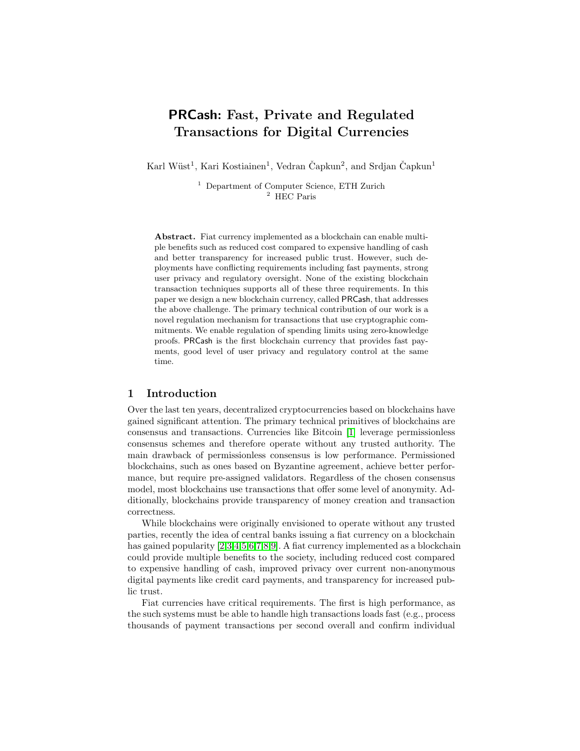# PRCash: Fast, Private and Regulated Transactions for Digital Currencies

Karl Wüst<sup>1</sup>, Kari Kostiainen<sup>1</sup>, Vedran Čapkun<sup>2</sup>, and Srdjan Čapkun<sup>1</sup>

<sup>1</sup> Department of Computer Science, ETH Zurich <sup>2</sup> HEC Paris

Abstract. Fiat currency implemented as a blockchain can enable multiple benefits such as reduced cost compared to expensive handling of cash and better transparency for increased public trust. However, such deployments have conflicting requirements including fast payments, strong user privacy and regulatory oversight. None of the existing blockchain transaction techniques supports all of these three requirements. In this paper we design a new blockchain currency, called PRCash, that addresses the above challenge. The primary technical contribution of our work is a novel regulation mechanism for transactions that use cryptographic commitments. We enable regulation of spending limits using zero-knowledge proofs. PRCash is the first blockchain currency that provides fast payments, good level of user privacy and regulatory control at the same time.

# 1 Introduction

Over the last ten years, decentralized cryptocurrencies based on blockchains have gained significant attention. The primary technical primitives of blockchains are consensus and transactions. Currencies like Bitcoin [\[1\]](#page-15-0) leverage permissionless consensus schemes and therefore operate without any trusted authority. The main drawback of permissionless consensus is low performance. Permissioned blockchains, such as ones based on Byzantine agreement, achieve better performance, but require pre-assigned validators. Regardless of the chosen consensus model, most blockchains use transactions that offer some level of anonymity. Additionally, blockchains provide transparency of money creation and transaction correctness.

While blockchains were originally envisioned to operate without any trusted parties, recently the idea of central banks issuing a fiat currency on a blockchain has gained popularity  $[2,3,4,5,6,7,8,9]$  $[2,3,4,5,6,7,8,9]$  $[2,3,4,5,6,7,8,9]$  $[2,3,4,5,6,7,8,9]$  $[2,3,4,5,6,7,8,9]$  $[2,3,4,5,6,7,8,9]$  $[2,3,4,5,6,7,8,9]$  $[2,3,4,5,6,7,8,9]$ . A fiat currency implemented as a blockchain could provide multiple benefits to the society, including reduced cost compared to expensive handling of cash, improved privacy over current non-anonymous digital payments like credit card payments, and transparency for increased public trust.

Fiat currencies have critical requirements. The first is high performance, as the such systems must be able to handle high transactions loads fast (e.g., process thousands of payment transactions per second overall and confirm individual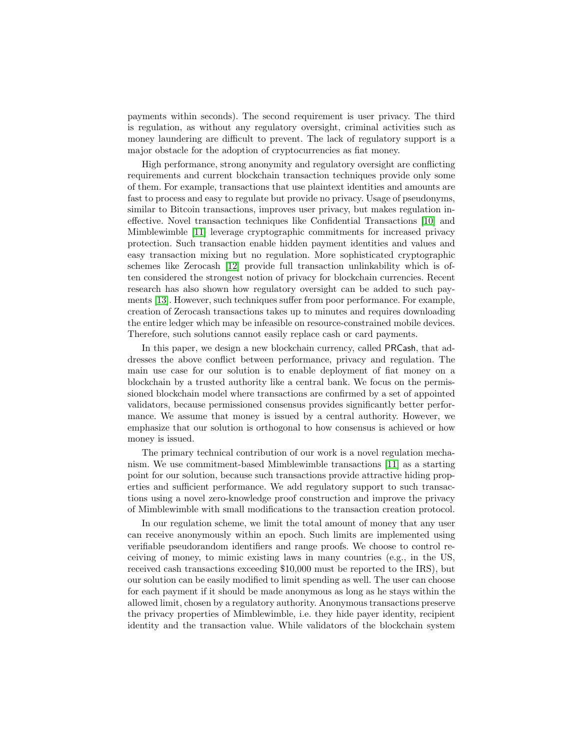payments within seconds). The second requirement is user privacy. The third is regulation, as without any regulatory oversight, criminal activities such as money laundering are difficult to prevent. The lack of regulatory support is a major obstacle for the adoption of cryptocurrencies as fiat money.

High performance, strong anonymity and regulatory oversight are conflicting requirements and current blockchain transaction techniques provide only some of them. For example, transactions that use plaintext identities and amounts are fast to process and easy to regulate but provide no privacy. Usage of pseudonyms, similar to Bitcoin transactions, improves user privacy, but makes regulation ineffective. Novel transaction techniques like Confidential Transactions [\[10\]](#page-15-9) and Mimblewimble [\[11\]](#page-15-10) leverage cryptographic commitments for increased privacy protection. Such transaction enable hidden payment identities and values and easy transaction mixing but no regulation. More sophisticated cryptographic schemes like Zerocash [\[12\]](#page-15-11) provide full transaction unlinkability which is often considered the strongest notion of privacy for blockchain currencies. Recent research has also shown how regulatory oversight can be added to such payments [\[13\]](#page-15-12). However, such techniques suffer from poor performance. For example, creation of Zerocash transactions takes up to minutes and requires downloading the entire ledger which may be infeasible on resource-constrained mobile devices. Therefore, such solutions cannot easily replace cash or card payments.

In this paper, we design a new blockchain currency, called PRCash, that addresses the above conflict between performance, privacy and regulation. The main use case for our solution is to enable deployment of fiat money on a blockchain by a trusted authority like a central bank. We focus on the permissioned blockchain model where transactions are confirmed by a set of appointed validators, because permissioned consensus provides significantly better performance. We assume that money is issued by a central authority. However, we emphasize that our solution is orthogonal to how consensus is achieved or how money is issued.

The primary technical contribution of our work is a novel regulation mechanism. We use commitment-based Mimblewimble transactions [\[11\]](#page-15-10) as a starting point for our solution, because such transactions provide attractive hiding properties and sufficient performance. We add regulatory support to such transactions using a novel zero-knowledge proof construction and improve the privacy of Mimblewimble with small modifications to the transaction creation protocol.

In our regulation scheme, we limit the total amount of money that any user can receive anonymously within an epoch. Such limits are implemented using verifiable pseudorandom identifiers and range proofs. We choose to control receiving of money, to mimic existing laws in many countries (e.g., in the US, received cash transactions exceeding \$10,000 must be reported to the IRS), but our solution can be easily modified to limit spending as well. The user can choose for each payment if it should be made anonymous as long as he stays within the allowed limit, chosen by a regulatory authority. Anonymous transactions preserve the privacy properties of Mimblewimble, i.e. they hide payer identity, recipient identity and the transaction value. While validators of the blockchain system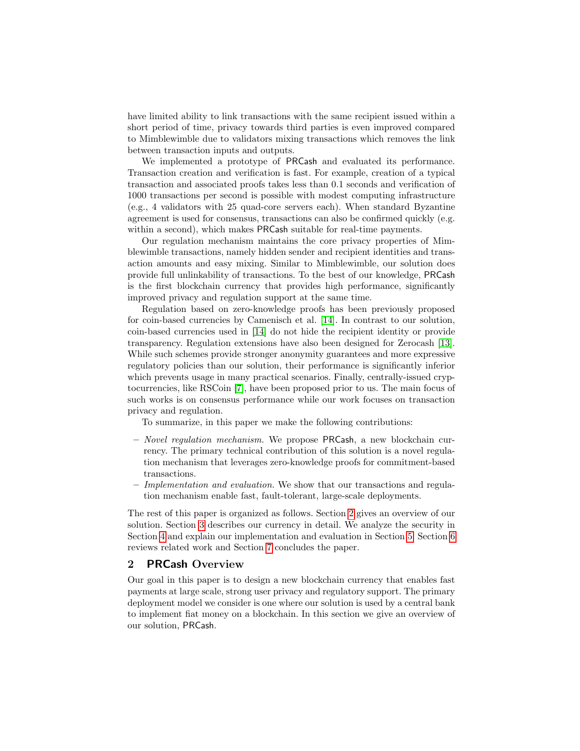have limited ability to link transactions with the same recipient issued within a short period of time, privacy towards third parties is even improved compared to Mimblewimble due to validators mixing transactions which removes the link between transaction inputs and outputs.

We implemented a prototype of PRCash and evaluated its performance. Transaction creation and verification is fast. For example, creation of a typical transaction and associated proofs takes less than 0.1 seconds and verification of 1000 transactions per second is possible with modest computing infrastructure (e.g., 4 validators with 25 quad-core servers each). When standard Byzantine agreement is used for consensus, transactions can also be confirmed quickly (e.g. within a second), which makes PRCash suitable for real-time payments.

Our regulation mechanism maintains the core privacy properties of Mimblewimble transactions, namely hidden sender and recipient identities and transaction amounts and easy mixing. Similar to Mimblewimble, our solution does provide full unlinkability of transactions. To the best of our knowledge, PRCash is the first blockchain currency that provides high performance, significantly improved privacy and regulation support at the same time.

Regulation based on zero-knowledge proofs has been previously proposed for coin-based currencies by Camenisch et al. [\[14\]](#page-15-13). In contrast to our solution, coin-based currencies used in [\[14\]](#page-15-13) do not hide the recipient identity or provide transparency. Regulation extensions have also been designed for Zerocash [\[13\]](#page-15-12). While such schemes provide stronger anonymity guarantees and more expressive regulatory policies than our solution, their performance is significantly inferior which prevents usage in many practical scenarios. Finally, centrally-issued cryptocurrencies, like RSCoin [\[7\]](#page-15-6), have been proposed prior to us. The main focus of such works is on consensus performance while our work focuses on transaction privacy and regulation.

To summarize, in this paper we make the following contributions:

- $-$  *Novel regulation mechanism.* We propose PRCash, a new blockchain currency. The primary technical contribution of this solution is a novel regulation mechanism that leverages zero-knowledge proofs for commitment-based transactions.
- Implementation and evaluation. We show that our transactions and regulation mechanism enable fast, fault-tolerant, large-scale deployments.

The rest of this paper is organized as follows. Section [2](#page-2-0) gives an overview of our solution. Section [3](#page-5-0) describes our currency in detail. We analyze the security in Section [4](#page-9-0) and explain our implementation and evaluation in Section [5.](#page-11-0) Section [6](#page-13-0) reviews related work and Section [7](#page-14-0) concludes the paper.

## <span id="page-2-0"></span>2 PRCash Overview

Our goal in this paper is to design a new blockchain currency that enables fast payments at large scale, strong user privacy and regulatory support. The primary deployment model we consider is one where our solution is used by a central bank to implement fiat money on a blockchain. In this section we give an overview of our solution, PRCash.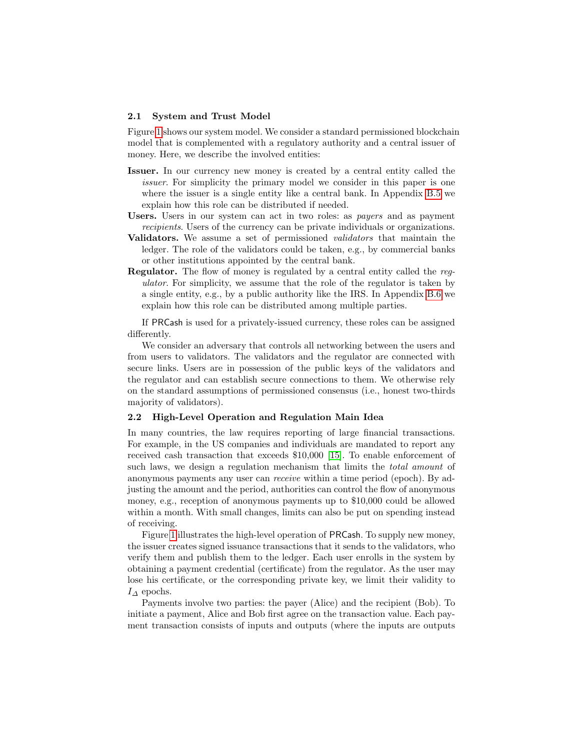#### 2.1 System and Trust Model

Figure [1](#page-4-0) shows our system model. We consider a standard permissioned blockchain model that is complemented with a regulatory authority and a central issuer of money. Here, we describe the involved entities:

- Issuer. In our currency new money is created by a central entity called the issuer. For simplicity the primary model we consider in this paper is one where the issuer is a single entity like a central bank. In Appendix [B.5](#page-25-0) we explain how this role can be distributed if needed.
- Users. Users in our system can act in two roles: as payers and as payment recipients. Users of the currency can be private individuals or organizations.
- Validators. We assume a set of permissioned validators that maintain the ledger. The role of the validators could be taken, e.g., by commercial banks or other institutions appointed by the central bank.
- **Regulator.** The flow of money is regulated by a central entity called the regulator. For simplicity, we assume that the role of the regulator is taken by a single entity, e.g., by a public authority like the IRS. In Appendix [B.6](#page-25-1) we explain how this role can be distributed among multiple parties.

If PRCash is used for a privately-issued currency, these roles can be assigned differently.

We consider an adversary that controls all networking between the users and from users to validators. The validators and the regulator are connected with secure links. Users are in possession of the public keys of the validators and the regulator and can establish secure connections to them. We otherwise rely on the standard assumptions of permissioned consensus (i.e., honest two-thirds majority of validators).

#### 2.2 High-Level Operation and Regulation Main Idea

In many countries, the law requires reporting of large financial transactions. For example, in the US companies and individuals are mandated to report any received cash transaction that exceeds \$10,000 [\[15\]](#page-15-14). To enable enforcement of such laws, we design a regulation mechanism that limits the *total amount* of anonymous payments any user can receive within a time period (epoch). By adjusting the amount and the period, authorities can control the flow of anonymous money, e.g., reception of anonymous payments up to \$10,000 could be allowed within a month. With small changes, limits can also be put on spending instead of receiving.

Figure [1](#page-4-0) illustrates the high-level operation of PRCash. To supply new money, the issuer creates signed issuance transactions that it sends to the validators, who verify them and publish them to the ledger. Each user enrolls in the system by obtaining a payment credential (certificate) from the regulator. As the user may lose his certificate, or the corresponding private key, we limit their validity to  $I_{\Lambda}$  epochs.

Payments involve two parties: the payer (Alice) and the recipient (Bob). To initiate a payment, Alice and Bob first agree on the transaction value. Each payment transaction consists of inputs and outputs (where the inputs are outputs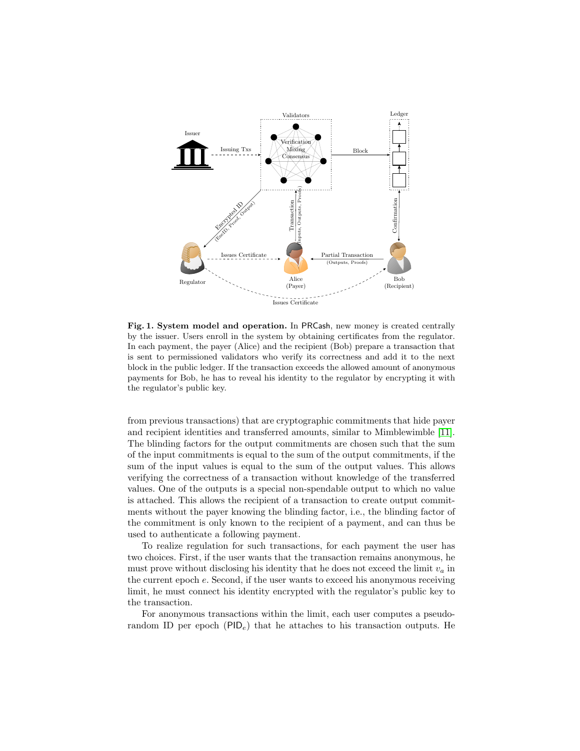<span id="page-4-0"></span>

Fig. 1. System model and operation. In PRCash, new money is created centrally by the issuer. Users enroll in the system by obtaining certificates from the regulator. In each payment, the payer (Alice) and the recipient (Bob) prepare a transaction that is sent to permissioned validators who verify its correctness and add it to the next block in the public ledger. If the transaction exceeds the allowed amount of anonymous payments for Bob, he has to reveal his identity to the regulator by encrypting it with the regulator's public key.

from previous transactions) that are cryptographic commitments that hide payer and recipient identities and transferred amounts, similar to Mimblewimble [\[11\]](#page-15-10). The blinding factors for the output commitments are chosen such that the sum of the input commitments is equal to the sum of the output commitments, if the sum of the input values is equal to the sum of the output values. This allows verifying the correctness of a transaction without knowledge of the transferred values. One of the outputs is a special non-spendable output to which no value is attached. This allows the recipient of a transaction to create output commitments without the payer knowing the blinding factor, i.e., the blinding factor of the commitment is only known to the recipient of a payment, and can thus be used to authenticate a following payment.

To realize regulation for such transactions, for each payment the user has two choices. First, if the user wants that the transaction remains anonymous, he must prove without disclosing his identity that he does not exceed the limit  $v_a$  in the current epoch e. Second, if the user wants to exceed his anonymous receiving limit, he must connect his identity encrypted with the regulator's public key to the transaction.

For anonymous transactions within the limit, each user computes a pseudorandom ID per epoch  $(PID_e)$  that he attaches to his transaction outputs. He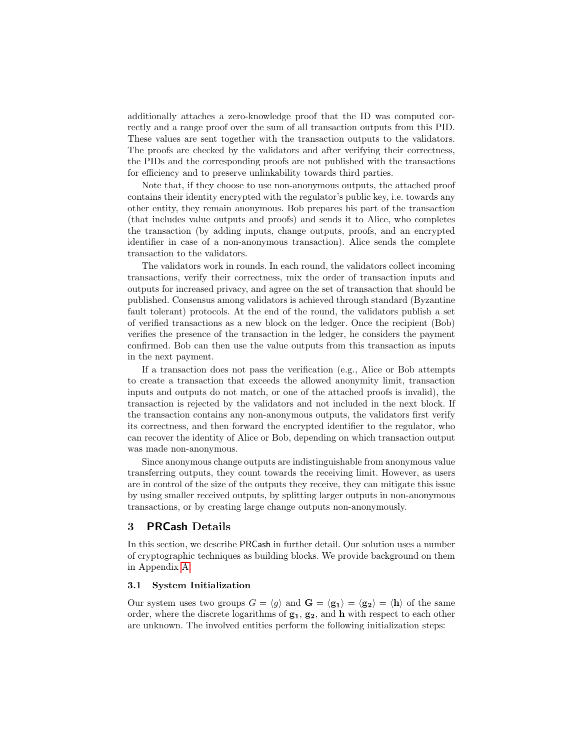additionally attaches a zero-knowledge proof that the ID was computed correctly and a range proof over the sum of all transaction outputs from this PID. These values are sent together with the transaction outputs to the validators. The proofs are checked by the validators and after verifying their correctness, the PIDs and the corresponding proofs are not published with the transactions for efficiency and to preserve unlinkability towards third parties.

Note that, if they choose to use non-anonymous outputs, the attached proof contains their identity encrypted with the regulator's public key, i.e. towards any other entity, they remain anonymous. Bob prepares his part of the transaction (that includes value outputs and proofs) and sends it to Alice, who completes the transaction (by adding inputs, change outputs, proofs, and an encrypted identifier in case of a non-anonymous transaction). Alice sends the complete transaction to the validators.

The validators work in rounds. In each round, the validators collect incoming transactions, verify their correctness, mix the order of transaction inputs and outputs for increased privacy, and agree on the set of transaction that should be published. Consensus among validators is achieved through standard (Byzantine fault tolerant) protocols. At the end of the round, the validators publish a set of verified transactions as a new block on the ledger. Once the recipient (Bob) verifies the presence of the transaction in the ledger, he considers the payment confirmed. Bob can then use the value outputs from this transaction as inputs in the next payment.

If a transaction does not pass the verification (e.g., Alice or Bob attempts to create a transaction that exceeds the allowed anonymity limit, transaction inputs and outputs do not match, or one of the attached proofs is invalid), the transaction is rejected by the validators and not included in the next block. If the transaction contains any non-anonymous outputs, the validators first verify its correctness, and then forward the encrypted identifier to the regulator, who can recover the identity of Alice or Bob, depending on which transaction output was made non-anonymous.

Since anonymous change outputs are indistinguishable from anonymous value transferring outputs, they count towards the receiving limit. However, as users are in control of the size of the outputs they receive, they can mitigate this issue by using smaller received outputs, by splitting larger outputs in non-anonymous transactions, or by creating large change outputs non-anonymously.

# <span id="page-5-0"></span>3 PRCash Details

In this section, we describe PRCash in further detail. Our solution uses a number of cryptographic techniques as building blocks. We provide background on them in Appendix [A.](#page-18-0)

## 3.1 System Initialization

Our system uses two groups  $G = \langle g \rangle$  and  $\mathbf{G} = \langle \mathbf{g_1} \rangle = \langle \mathbf{g_2} \rangle = \langle \mathbf{h} \rangle$  of the same order, where the discrete logarithms of  $g_1, g_2$ , and h with respect to each other are unknown. The involved entities perform the following initialization steps: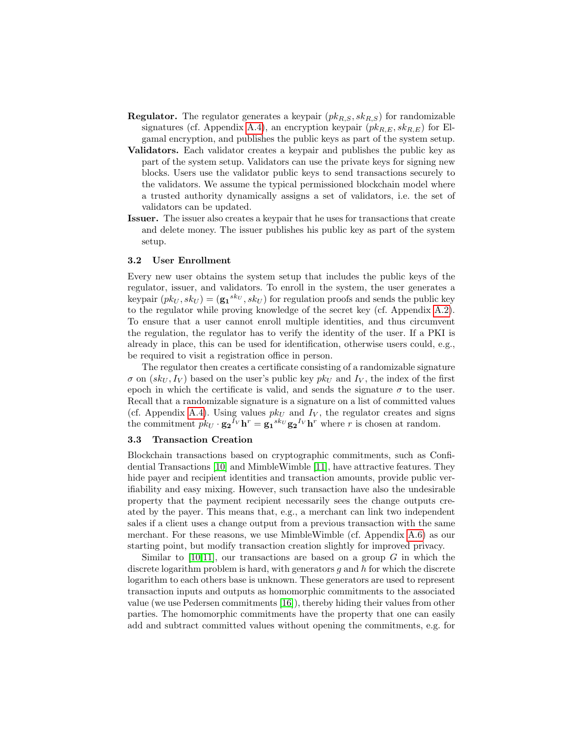- **Regulator.** The regulator generates a keypair  $(pk_{R,S}, sk_{R,S})$  for randomizable signatures (cf. Appendix [A.4\)](#page-19-0), an encryption keypair  $(pk_{R,E}, sk_{R,E})$  for Elgamal encryption, and publishes the public keys as part of the system setup.
- Validators. Each validator creates a keypair and publishes the public key as part of the system setup. Validators can use the private keys for signing new blocks. Users use the validator public keys to send transactions securely to the validators. We assume the typical permissioned blockchain model where a trusted authority dynamically assigns a set of validators, i.e. the set of validators can be updated.
- Issuer. The issuer also creates a keypair that he uses for transactions that create and delete money. The issuer publishes his public key as part of the system setup.

#### 3.2 User Enrollment

Every new user obtains the system setup that includes the public keys of the regulator, issuer, and validators. To enroll in the system, the user generates a keypair  $(pk_U, sk_U) = (\mathbf{g_1}^{sk_U}, sk_U)$  for regulation proofs and sends the public key to the regulator while proving knowledge of the secret key (cf. Appendix [A.2\)](#page-18-1). To ensure that a user cannot enroll multiple identities, and thus circumvent the regulation, the regulator has to verify the identity of the user. If a PKI is already in place, this can be used for identification, otherwise users could, e.g., be required to visit a registration office in person.

The regulator then creates a certificate consisting of a randomizable signature  $\sigma$  on  $(sk_U, I_V)$  based on the user's public key  $pk_U$  and  $I_V$ , the index of the first epoch in which the certificate is valid, and sends the signature  $\sigma$  to the user. Recall that a randomizable signature is a signature on a list of committed values (cf. Appendix [A.4\)](#page-19-0). Using values  $pk_U$  and  $I_V$ , the regulator creates and signs the commitment  $pk_U \cdot g_2^{I_V} h^r = g_1^{sk_U} g_2^{I_V} h^r$  where r is chosen at random.

## <span id="page-6-0"></span>3.3 Transaction Creation

Blockchain transactions based on cryptographic commitments, such as Confidential Transactions [\[10\]](#page-15-9) and MimbleWimble [\[11\]](#page-15-10), have attractive features. They hide payer and recipient identities and transaction amounts, provide public verifiability and easy mixing. However, such transaction have also the undesirable property that the payment recipient necessarily sees the change outputs created by the payer. This means that, e.g., a merchant can link two independent sales if a client uses a change output from a previous transaction with the same merchant. For these reasons, we use MimbleWimble (cf. Appendix [A.6\)](#page-19-1) as our starting point, but modify transaction creation slightly for improved privacy.

Similar to  $[10,11]$  $[10,11]$ , our transactions are based on a group G in which the discrete logarithm problem is hard, with generators  $g$  and  $h$  for which the discrete logarithm to each others base is unknown. These generators are used to represent transaction inputs and outputs as homomorphic commitments to the associated value (we use Pedersen commitments [\[16\]](#page-15-15)), thereby hiding their values from other parties. The homomorphic commitments have the property that one can easily add and subtract committed values without opening the commitments, e.g. for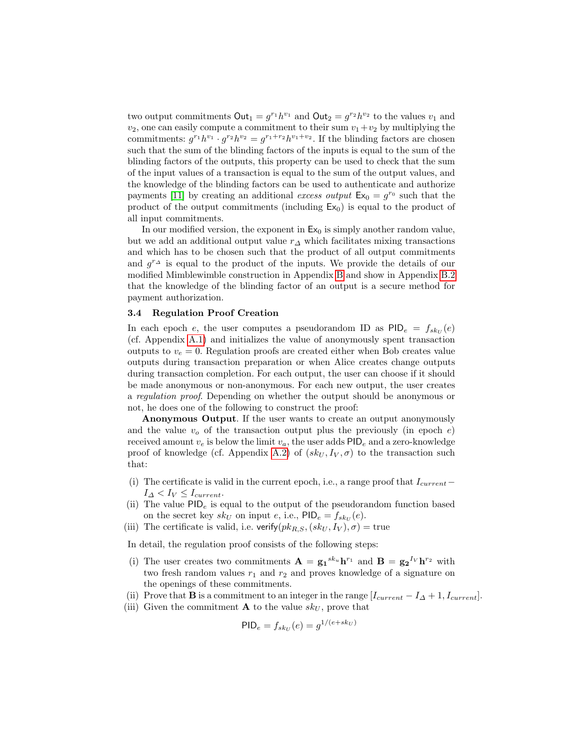two output commitments  $\text{Out}_1 = g^{r_1} h^{v_1}$  and  $\text{Out}_2 = g^{r_2} h^{v_2}$  to the values  $v_1$  and  $v_2$ , one can easily compute a commitment to their sum  $v_1+v_2$  by multiplying the commitments:  $g^{r_1}h^{v_1} \cdot g^{r_2}h^{v_2} = g^{r_1+r_2}h^{v_1+v_2}$ . If the blinding factors are chosen such that the sum of the blinding factors of the inputs is equal to the sum of the blinding factors of the outputs, this property can be used to check that the sum of the input values of a transaction is equal to the sum of the output values, and the knowledge of the blinding factors can be used to authenticate and authorize payments [\[11\]](#page-15-10) by creating an additional excess output  $Ex_0 = g^{r_0}$  such that the product of the output commitments (including  $Ex<sub>0</sub>$ ) is equal to the product of all input commitments.

In our modified version, the exponent in  $E_{X_0}$  is simply another random value, but we add an additional output value  $r<sub>∆</sub>$  which facilitates mixing transactions and which has to be chosen such that the product of all output commitments and  $g^{r\Delta}$  is equal to the product of the inputs. We provide the details of our modified Mimblewimble construction in Appendix [B](#page-20-0) and show in Appendix [B.2](#page-22-0) that the knowledge of the blinding factor of an output is a secure method for payment authorization.

## <span id="page-7-0"></span>3.4 Regulation Proof Creation

In each epoch e, the user computes a pseudorandom ID as  $\text{PID}_e = f_{sk_U}(e)$ (cf. Appendix [A.1\)](#page-18-2) and initializes the value of anonymously spent transaction outputs to  $v_e = 0$ . Regulation proofs are created either when Bob creates value outputs during transaction preparation or when Alice creates change outputs during transaction completion. For each output, the user can choose if it should be made anonymous or non-anonymous. For each new output, the user creates a regulation proof. Depending on whether the output should be anonymous or not, he does one of the following to construct the proof:

Anonymous Output. If the user wants to create an output anonymously and the value  $v<sub>o</sub>$  of the transaction output plus the previously (in epoch e) received amount  $v_e$  is below the limit  $v_a$ , the user adds  $\text{PID}_e$  and a zero-knowledge proof of knowledge (cf. Appendix [A.2\)](#page-18-1) of  $(sk_U, I_V, \sigma)$  to the transaction such that:

- (i) The certificate is valid in the current epoch, i.e., a range proof that  $I_{current}$  $I_{\Delta}$  <  $I_V \leq I_{current}$ .
- (ii) The value  $PID_e$  is equal to the output of the pseudorandom function based on the secret key  $sk_U$  on input e, i.e.,  $\text{PID}_e = f_{sk_U}(e)$ .
- (iii) The certificate is valid, i.e. verify $(pk_{R,S},(sk_U, I_V), \sigma) =$  true

In detail, the regulation proof consists of the following steps:

- (i) The user creates two commitments  $\mathbf{A} = \mathbf{g_1}^{sk_u} \mathbf{h}^{r_1}$  and  $\mathbf{B} = \mathbf{g_2}^{I_V} \mathbf{h}^{r_2}$  with two fresh random values  $r_1$  and  $r_2$  and proves knowledge of a signature on the openings of these commitments.
- (ii) Prove that **B** is a commitment to an integer in the range  $[I_{current} I_{\Delta} + 1, I_{current}]$ .
- (iii) Given the commitment **A** to the value  $sk_U$ , prove that

$$
\mathsf{PID}_e = f_{sky}(e) = g^{1/(e + sk_U)}
$$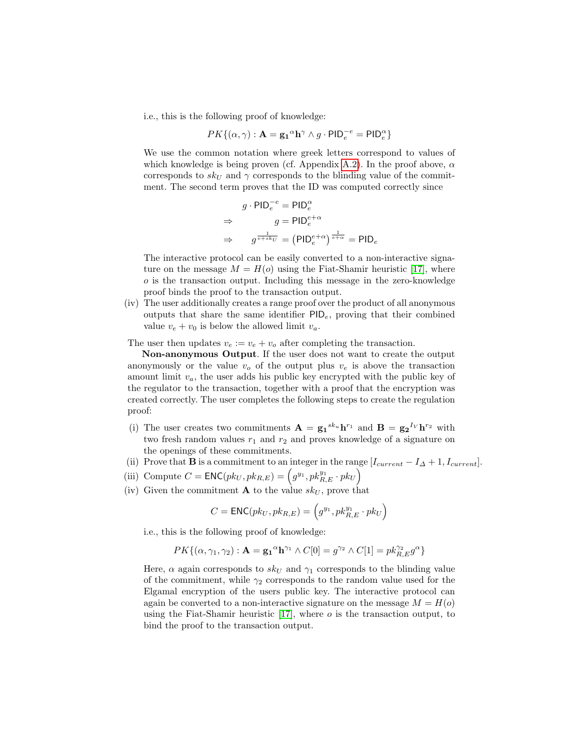i.e., this is the following proof of knowledge:

$$
PK\{(\alpha, \gamma): \mathbf{A} = \mathbf{g_1}^{\alpha} \mathbf{h}^{\gamma} \wedge g \cdot \mathsf{PID}^{-e}_e = \mathsf{PID}^{\alpha}_e\}
$$

We use the common notation where greek letters correspond to values of which knowledge is being proven (cf. Appendix [A.2\)](#page-18-1). In the proof above,  $\alpha$ corresponds to  $sk_U$  and  $\gamma$  corresponds to the blinding value of the commitment. The second term proves that the ID was computed correctly since

$$
g \cdot \text{PID}_{e}^{-e} = \text{PID}_{e}^{\alpha}
$$
  
\n
$$
\Rightarrow \qquad g = \text{PID}_{e}^{e+\alpha}
$$
  
\n
$$
\Rightarrow \qquad g^{\frac{1}{e+sk_U}} = (\text{PID}_{e}^{e+\alpha})^{\frac{1}{e+\alpha}} = \text{PID}_{e}
$$

The interactive protocol can be easily converted to a non-interactive signature on the message  $M = H(o)$  using the Fiat-Shamir heuristic [\[17\]](#page-15-16), where o is the transaction output. Including this message in the zero-knowledge proof binds the proof to the transaction output.

(iv) The user additionally creates a range proof over the product of all anonymous outputs that share the same identifier  $PID_e$ , proving that their combined value  $v_e + v_0$  is below the allowed limit  $v_a$ .

The user then updates  $v_e := v_e + v_o$  after completing the transaction.

Non-anonymous Output. If the user does not want to create the output anonymously or the value  $v<sub>o</sub>$  of the output plus  $v<sub>e</sub>$  is above the transaction amount limit  $v_a$ , the user adds his public key encrypted with the public key of the regulator to the transaction, together with a proof that the encryption was created correctly. The user completes the following steps to create the regulation proof:

- (i) The user creates two commitments  $\mathbf{A} = \mathbf{g_1}^{sk_u} \mathbf{h}^{r_1}$  and  $\mathbf{B} = \mathbf{g_2}^{I_V} \mathbf{h}^{r_2}$  with two fresh random values  $r_1$  and  $r_2$  and proves knowledge of a signature on the openings of these commitments.
- (ii) Prove that **B** is a commitment to an integer in the range  $[I_{current} I_{\Delta} + 1, I_{current}]$ .
- (iii) Compute  $C = \text{ENC}(pk_U, pk_{R,E}) = (g^{y_1}, pk_{R,E}^{y_1} \cdot pk_U)$
- (iv) Given the commitment **A** to the value  $sk_U$ , prove that

$$
C = \text{ENC}(pk_U, pk_{R,E}) = \left(g^{y_1}, pk_{R,E}^{y_1} \cdot pk_U\right)
$$

i.e., this is the following proof of knowledge:

$$
PK\{(\alpha,\gamma_1,\gamma_2): \mathbf{A}=\mathbf{g_1}^\alpha \mathbf{h}^{\gamma_1} \wedge C[0]=g^{\gamma_2} \wedge C[1]=pk_{R,E}^{\gamma_2}g^\alpha\}
$$

<span id="page-8-0"></span>Here,  $\alpha$  again corresponds to  $sk_U$  and  $\gamma_1$  corresponds to the blinding value of the commitment, while  $\gamma_2$  corresponds to the random value used for the Elgamal encryption of the users public key. The interactive protocol can again be converted to a non-interactive signature on the message  $M = H(o)$ using the Fiat-Shamir heuristic  $[17]$ , where  $\sigma$  is the transaction output, to bind the proof to the transaction output.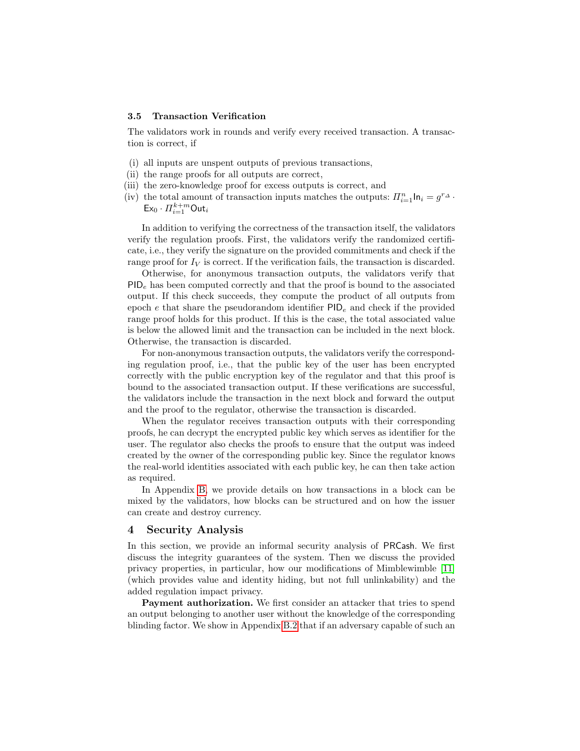#### 3.5 Transaction Verification

The validators work in rounds and verify every received transaction. A transaction is correct, if

- (i) all inputs are unspent outputs of previous transactions,
- (ii) the range proofs for all outputs are correct,
- (iii) the zero-knowledge proof for excess outputs is correct, and
- (iv) the total amount of transaction inputs matches the outputs:  $\Pi_{i=1}^n \ln_i = g^{r \Delta}$ .  $\mathsf{Ex}_0 \cdot \Pi_{i=1}^{k+m}$ Out $_i$

In addition to verifying the correctness of the transaction itself, the validators verify the regulation proofs. First, the validators verify the randomized certificate, i.e., they verify the signature on the provided commitments and check if the range proof for  $I_V$  is correct. If the verification fails, the transaction is discarded.

Otherwise, for anonymous transaction outputs, the validators verify that  $PID<sub>e</sub>$  has been computed correctly and that the proof is bound to the associated output. If this check succeeds, they compute the product of all outputs from epoch  $e$  that share the pseudorandom identifier  $\text{PID}_e$  and check if the provided range proof holds for this product. If this is the case, the total associated value is below the allowed limit and the transaction can be included in the next block. Otherwise, the transaction is discarded.

For non-anonymous transaction outputs, the validators verify the corresponding regulation proof, i.e., that the public key of the user has been encrypted correctly with the public encryption key of the regulator and that this proof is bound to the associated transaction output. If these verifications are successful, the validators include the transaction in the next block and forward the output and the proof to the regulator, otherwise the transaction is discarded.

When the regulator receives transaction outputs with their corresponding proofs, he can decrypt the encrypted public key which serves as identifier for the user. The regulator also checks the proofs to ensure that the output was indeed created by the owner of the corresponding public key. Since the regulator knows the real-world identities associated with each public key, he can then take action as required.

In Appendix [B,](#page-20-0) we provide details on how transactions in a block can be mixed by the validators, how blocks can be structured and on how the issuer can create and destroy currency.

#### <span id="page-9-0"></span>4 Security Analysis

In this section, we provide an informal security analysis of PRCash. We first discuss the integrity guarantees of the system. Then we discuss the provided privacy properties, in particular, how our modifications of Mimblewimble [\[11\]](#page-15-10) (which provides value and identity hiding, but not full unlinkability) and the added regulation impact privacy.

Payment authorization. We first consider an attacker that tries to spend an output belonging to another user without the knowledge of the corresponding blinding factor. We show in Appendix [B.2](#page-22-0) that if an adversary capable of such an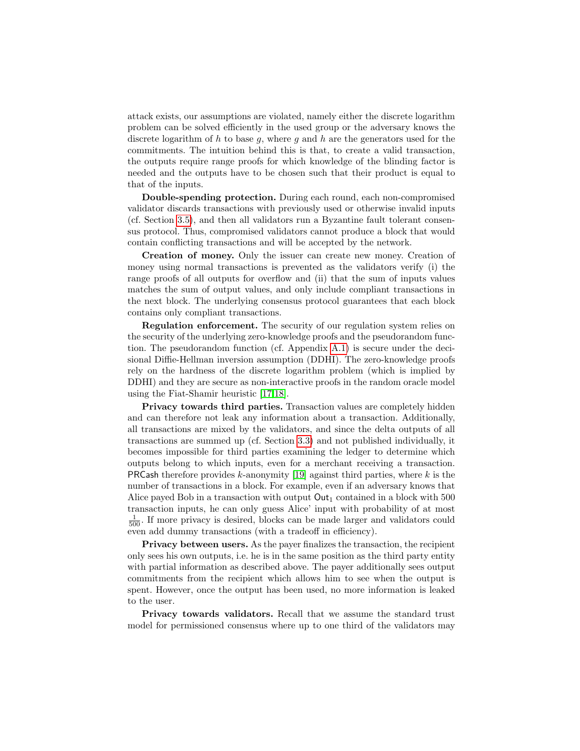attack exists, our assumptions are violated, namely either the discrete logarithm problem can be solved efficiently in the used group or the adversary knows the discrete logarithm of h to base g, where g and h are the generators used for the commitments. The intuition behind this is that, to create a valid transaction, the outputs require range proofs for which knowledge of the blinding factor is needed and the outputs have to be chosen such that their product is equal to that of the inputs.

Double-spending protection. During each round, each non-compromised validator discards transactions with previously used or otherwise invalid inputs (cf. Section [3.5\)](#page-8-0), and then all validators run a Byzantine fault tolerant consensus protocol. Thus, compromised validators cannot produce a block that would contain conflicting transactions and will be accepted by the network.

Creation of money. Only the issuer can create new money. Creation of money using normal transactions is prevented as the validators verify (i) the range proofs of all outputs for overflow and (ii) that the sum of inputs values matches the sum of output values, and only include compliant transactions in the next block. The underlying consensus protocol guarantees that each block contains only compliant transactions.

Regulation enforcement. The security of our regulation system relies on the security of the underlying zero-knowledge proofs and the pseudorandom function. The pseudorandom function (cf. Appendix [A.1\)](#page-18-2) is secure under the decisional Diffie-Hellman inversion assumption (DDHI). The zero-knowledge proofs rely on the hardness of the discrete logarithm problem (which is implied by DDHI) and they are secure as non-interactive proofs in the random oracle model using the Fiat-Shamir heuristic [\[17,](#page-15-16)[18\]](#page-15-17).

Privacy towards third parties. Transaction values are completely hidden and can therefore not leak any information about a transaction. Additionally, all transactions are mixed by the validators, and since the delta outputs of all transactions are summed up (cf. Section [3.3\)](#page-6-0) and not published individually, it becomes impossible for third parties examining the ledger to determine which outputs belong to which inputs, even for a merchant receiving a transaction. **PRCash** therefore provides k-anonymity [\[19\]](#page-16-0) against third parties, where  $k$  is the number of transactions in a block. For example, even if an adversary knows that Alice payed Bob in a transaction with output  $Out_1$  contained in a block with 500 transaction inputs, he can only guess Alice' input with probability of at most  $\frac{1}{500}$ . If more privacy is desired, blocks can be made larger and validators could even add dummy transactions (with a tradeoff in efficiency).

Privacy between users. As the payer finalizes the transaction, the recipient only sees his own outputs, i.e. he is in the same position as the third party entity with partial information as described above. The payer additionally sees output commitments from the recipient which allows him to see when the output is spent. However, once the output has been used, no more information is leaked to the user.

Privacy towards validators. Recall that we assume the standard trust model for permissioned consensus where up to one third of the validators may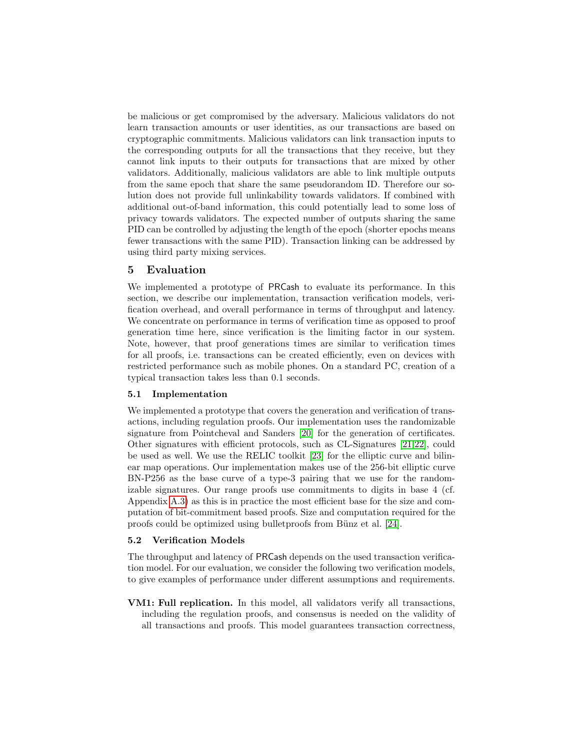be malicious or get compromised by the adversary. Malicious validators do not learn transaction amounts or user identities, as our transactions are based on cryptographic commitments. Malicious validators can link transaction inputs to the corresponding outputs for all the transactions that they receive, but they cannot link inputs to their outputs for transactions that are mixed by other validators. Additionally, malicious validators are able to link multiple outputs from the same epoch that share the same pseudorandom ID. Therefore our solution does not provide full unlinkability towards validators. If combined with additional out-of-band information, this could potentially lead to some loss of privacy towards validators. The expected number of outputs sharing the same PID can be controlled by adjusting the length of the epoch (shorter epochs means fewer transactions with the same PID). Transaction linking can be addressed by using third party mixing services.

# <span id="page-11-0"></span>5 Evaluation

We implemented a prototype of PRCash to evaluate its performance. In this section, we describe our implementation, transaction verification models, verification overhead, and overall performance in terms of throughput and latency. We concentrate on performance in terms of verification time as opposed to proof generation time here, since verification is the limiting factor in our system. Note, however, that proof generations times are similar to verification times for all proofs, i.e. transactions can be created efficiently, even on devices with restricted performance such as mobile phones. On a standard PC, creation of a typical transaction takes less than 0.1 seconds.

#### 5.1 Implementation

We implemented a prototype that covers the generation and verification of transactions, including regulation proofs. Our implementation uses the randomizable signature from Pointcheval and Sanders [\[20\]](#page-16-1) for the generation of certificates. Other signatures with efficient protocols, such as CL-Signatures [\[21,](#page-16-2)[22\]](#page-16-3), could be used as well. We use the RELIC toolkit [\[23\]](#page-16-4) for the elliptic curve and bilinear map operations. Our implementation makes use of the 256-bit elliptic curve BN-P256 as the base curve of a type-3 pairing that we use for the randomizable signatures. Our range proofs use commitments to digits in base 4 (cf. Appendix [A.3\)](#page-18-3) as this is in practice the most efficient base for the size and computation of bit-commitment based proofs. Size and computation required for the proofs could be optimized using bulletproofs from Bünz et al. [\[24\]](#page-16-5).

#### 5.2 Verification Models

The throughput and latency of PRCash depends on the used transaction verification model. For our evaluation, we consider the following two verification models, to give examples of performance under different assumptions and requirements.

VM1: Full replication. In this model, all validators verify all transactions, including the regulation proofs, and consensus is needed on the validity of all transactions and proofs. This model guarantees transaction correctness,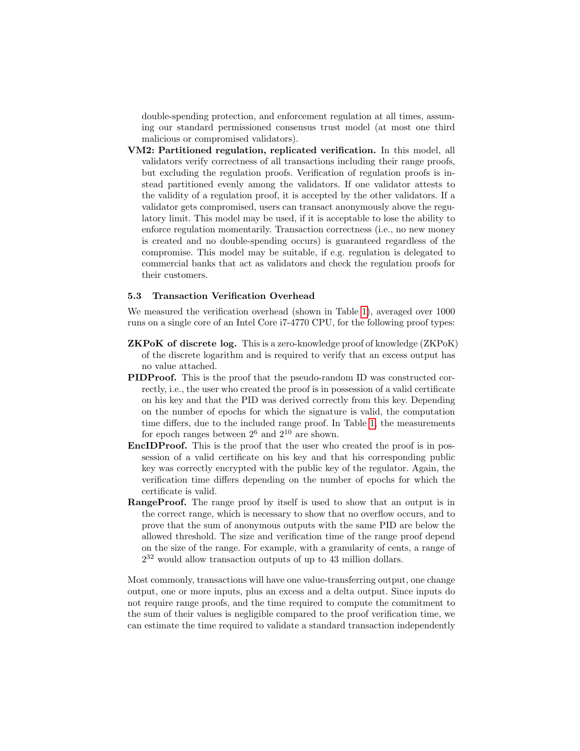double-spending protection, and enforcement regulation at all times, assuming our standard permissioned consensus trust model (at most one third malicious or compromised validators).

VM2: Partitioned regulation, replicated verification. In this model, all validators verify correctness of all transactions including their range proofs, but excluding the regulation proofs. Verification of regulation proofs is instead partitioned evenly among the validators. If one validator attests to the validity of a regulation proof, it is accepted by the other validators. If a validator gets compromised, users can transact anonymously above the regulatory limit. This model may be used, if it is acceptable to lose the ability to enforce regulation momentarily. Transaction correctness (i.e., no new money is created and no double-spending occurs) is guaranteed regardless of the compromise. This model may be suitable, if e.g. regulation is delegated to commercial banks that act as validators and check the regulation proofs for their customers.

#### 5.3 Transaction Verification Overhead

We measured the verification overhead (shown in Table [1\)](#page-13-1), averaged over 1000 runs on a single core of an Intel Core i7-4770 CPU, for the following proof types:

- ZKPoK of discrete log. This is a zero-knowledge proof of knowledge (ZKPoK) of the discrete logarithm and is required to verify that an excess output has no value attached.
- PIDProof. This is the proof that the pseudo-random ID was constructed correctly, i.e., the user who created the proof is in possession of a valid certificate on his key and that the PID was derived correctly from this key. Depending on the number of epochs for which the signature is valid, the computation time differs, due to the included range proof. In Table [1,](#page-13-1) the measurements for epoch ranges between  $2^6$  and  $2^{10}$  are shown.
- EncIDProof. This is the proof that the user who created the proof is in possession of a valid certificate on his key and that his corresponding public key was correctly encrypted with the public key of the regulator. Again, the verification time differs depending on the number of epochs for which the certificate is valid.
- **RangeProof.** The range proof by itself is used to show that an output is in the correct range, which is necessary to show that no overflow occurs, and to prove that the sum of anonymous outputs with the same PID are below the allowed threshold. The size and verification time of the range proof depend on the size of the range. For example, with a granularity of cents, a range of 2 <sup>32</sup> would allow transaction outputs of up to 43 million dollars.

Most commonly, transactions will have one value-transferring output, one change output, one or more inputs, plus an excess and a delta output. Since inputs do not require range proofs, and the time required to compute the commitment to the sum of their values is negligible compared to the proof verification time, we can estimate the time required to validate a standard transaction independently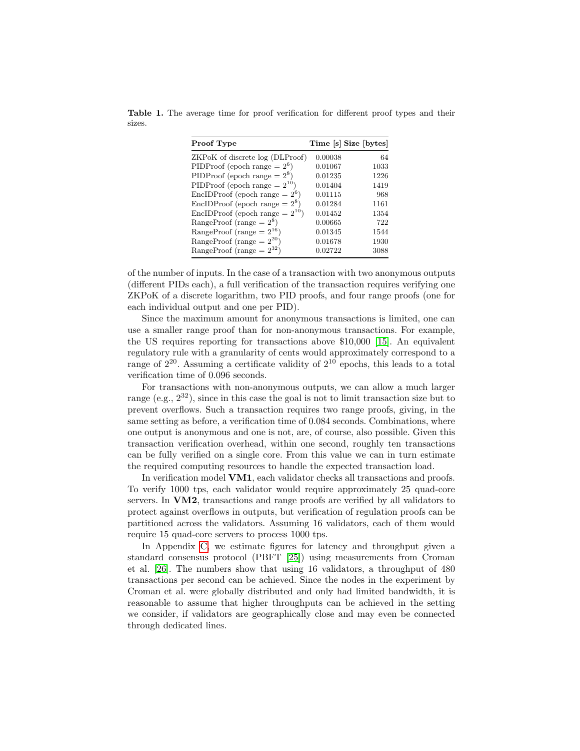<span id="page-13-1"></span>Table 1. The average time for proof verification for different proof types and their sizes.

| <b>Proof Type</b>                    |         | Time [s] Size [bytes] |
|--------------------------------------|---------|-----------------------|
| ZKPoK of discrete log (DLProof)      | 0.00038 | 64                    |
| PIDProof (epoch range $= 2^b$ )      | 0.01067 | 1033                  |
| PIDProof (epoch range $= 2^8$ )      | 0.01235 | 1226                  |
| PIDProof (epoch range $= 2^{10}$ )   | 0.01404 | 1419                  |
| EncIDProof (epoch range $= 2^6$ )    | 0.01115 | 968                   |
| EncIDProof (epoch range $= 2^8$ )    | 0.01284 | 1161                  |
| EncIDProof (epoch range $= 2^{10}$ ) | 0.01452 | 1354                  |
| RangeProof (range $= 2^8$ )          | 0.00665 | 722                   |
| RangeProof (range $= 2^{16}$ )       | 0.01345 | 1544                  |
| RangeProof (range $= 2^{20}$ )       | 0.01678 | 1930                  |
| RangeProof (range $= 2^{32}$ )       | 0.02722 | 3088                  |

of the number of inputs. In the case of a transaction with two anonymous outputs (different PIDs each), a full verification of the transaction requires verifying one ZKPoK of a discrete logarithm, two PID proofs, and four range proofs (one for each individual output and one per PID).

Since the maximum amount for anonymous transactions is limited, one can use a smaller range proof than for non-anonymous transactions. For example, the US requires reporting for transactions above \$10,000 [\[15\]](#page-15-14). An equivalent regulatory rule with a granularity of cents would approximately correspond to a range of  $2^{20}$ . Assuming a certificate validity of  $2^{10}$  epochs, this leads to a total verification time of 0.096 seconds.

For transactions with non-anonymous outputs, we can allow a much larger range (e.g.,  $2^{32}$ ), since in this case the goal is not to limit transaction size but to prevent overflows. Such a transaction requires two range proofs, giving, in the same setting as before, a verification time of 0.084 seconds. Combinations, where one output is anonymous and one is not, are, of course, also possible. Given this transaction verification overhead, within one second, roughly ten transactions can be fully verified on a single core. From this value we can in turn estimate the required computing resources to handle the expected transaction load.

In verification model VM1, each validator checks all transactions and proofs. To verify 1000 tps, each validator would require approximately 25 quad-core servers. In VM2, transactions and range proofs are verified by all validators to protect against overflows in outputs, but verification of regulation proofs can be partitioned across the validators. Assuming 16 validators, each of them would require 15 quad-core servers to process 1000 tps.

<span id="page-13-0"></span>In Appendix [C,](#page-25-2) we estimate figures for latency and throughput given a standard consensus protocol (PBFT [\[25\]](#page-16-6)) using measurements from Croman et al. [\[26\]](#page-16-7). The numbers show that using 16 validators, a throughput of 480 transactions per second can be achieved. Since the nodes in the experiment by Croman et al. were globally distributed and only had limited bandwidth, it is reasonable to assume that higher throughputs can be achieved in the setting we consider, if validators are geographically close and may even be connected through dedicated lines.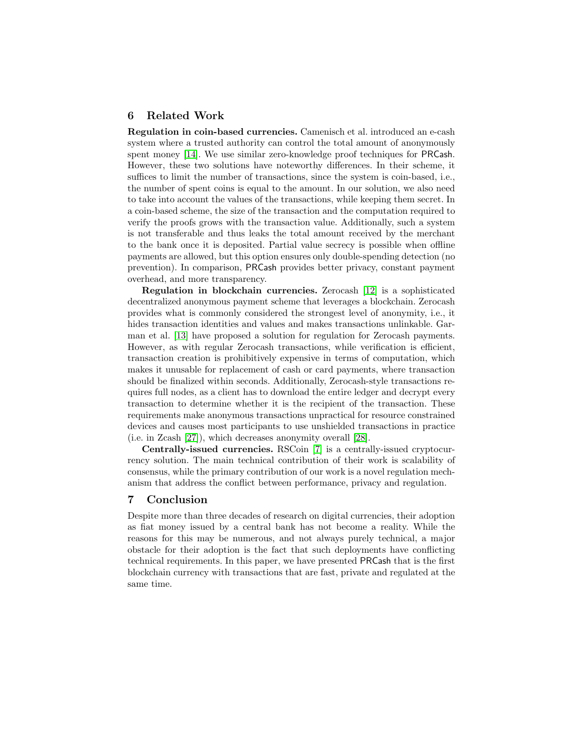# 6 Related Work

Regulation in coin-based currencies. Camenisch et al. introduced an e-cash system where a trusted authority can control the total amount of anonymously spent money [\[14\]](#page-15-13). We use similar zero-knowledge proof techniques for PRCash. However, these two solutions have noteworthy differences. In their scheme, it suffices to limit the number of transactions, since the system is coin-based, i.e., the number of spent coins is equal to the amount. In our solution, we also need to take into account the values of the transactions, while keeping them secret. In a coin-based scheme, the size of the transaction and the computation required to verify the proofs grows with the transaction value. Additionally, such a system is not transferable and thus leaks the total amount received by the merchant to the bank once it is deposited. Partial value secrecy is possible when offline payments are allowed, but this option ensures only double-spending detection (no prevention). In comparison, PRCash provides better privacy, constant payment overhead, and more transparency.

Regulation in blockchain currencies. Zerocash [\[12\]](#page-15-11) is a sophisticated decentralized anonymous payment scheme that leverages a blockchain. Zerocash provides what is commonly considered the strongest level of anonymity, i.e., it hides transaction identities and values and makes transactions unlinkable. Garman et al. [\[13\]](#page-15-12) have proposed a solution for regulation for Zerocash payments. However, as with regular Zerocash transactions, while verification is efficient, transaction creation is prohibitively expensive in terms of computation, which makes it unusable for replacement of cash or card payments, where transaction should be finalized within seconds. Additionally, Zerocash-style transactions requires full nodes, as a client has to download the entire ledger and decrypt every transaction to determine whether it is the recipient of the transaction. These requirements make anonymous transactions unpractical for resource constrained devices and causes most participants to use unshielded transactions in practice (i.e. in Zcash [\[27\]](#page-16-8)), which decreases anonymity overall [\[28\]](#page-16-9).

Centrally-issued currencies. RSCoin [\[7\]](#page-15-6) is a centrally-issued cryptocurrency solution. The main technical contribution of their work is scalability of consensus, while the primary contribution of our work is a novel regulation mechanism that address the conflict between performance, privacy and regulation.

# <span id="page-14-0"></span>7 Conclusion

Despite more than three decades of research on digital currencies, their adoption as fiat money issued by a central bank has not become a reality. While the reasons for this may be numerous, and not always purely technical, a major obstacle for their adoption is the fact that such deployments have conflicting technical requirements. In this paper, we have presented PRCash that is the first blockchain currency with transactions that are fast, private and regulated at the same time.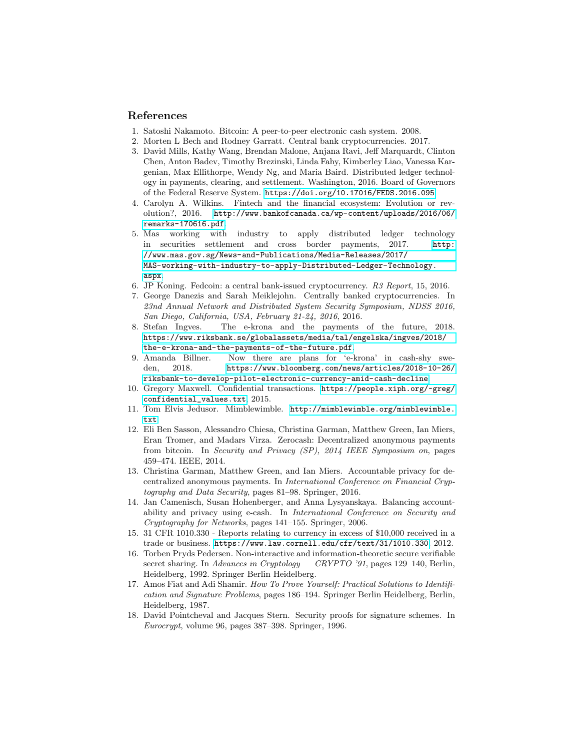## References

- <span id="page-15-0"></span>1. Satoshi Nakamoto. Bitcoin: A peer-to-peer electronic cash system. 2008.
- <span id="page-15-1"></span>2. Morten L Bech and Rodney Garratt. Central bank cryptocurrencies. 2017.
- <span id="page-15-2"></span>3. David Mills, Kathy Wang, Brendan Malone, Anjana Ravi, Jeff Marquardt, Clinton Chen, Anton Badev, Timothy Brezinski, Linda Fahy, Kimberley Liao, Vanessa Kargenian, Max Ellithorpe, Wendy Ng, and Maria Baird. Distributed ledger technology in payments, clearing, and settlement. Washington, 2016. Board of Governors of the Federal Reserve System. <https://doi.org/10.17016/FEDS.2016.095>.
- <span id="page-15-3"></span>4. Carolyn A. Wilkins. Fintech and the financial ecosystem: Evolution or revolution?, 2016. [http://www.bankofcanada.ca/wp-content/uploads/2016/06/](http://www.bankofcanada.ca/wp-content/uploads/2016/06/remarks-170616.pdf) [remarks-170616.pdf](http://www.bankofcanada.ca/wp-content/uploads/2016/06/remarks-170616.pdf).
- <span id="page-15-4"></span>5. Mas working with industry to apply distributed ledger technology in securities settlement and cross border payments, 2017. [http:](http://www.mas.gov.sg/News-and-Publications/Media-Releases/2017/MAS-working-with-industry-to-apply-Distributed-Ledger-Technology.aspx) [//www.mas.gov.sg/News-and-Publications/Media-Releases/2017/](http://www.mas.gov.sg/News-and-Publications/Media-Releases/2017/MAS-working-with-industry-to-apply-Distributed-Ledger-Technology.aspx) [MAS-working-with-industry-to-apply-Distributed-Ledger-Technology.](http://www.mas.gov.sg/News-and-Publications/Media-Releases/2017/MAS-working-with-industry-to-apply-Distributed-Ledger-Technology.aspx) [aspx](http://www.mas.gov.sg/News-and-Publications/Media-Releases/2017/MAS-working-with-industry-to-apply-Distributed-Ledger-Technology.aspx).
- <span id="page-15-5"></span>6. JP Koning. Fedcoin: a central bank-issued cryptocurrency. R3 Report, 15, 2016.
- <span id="page-15-6"></span>7. George Danezis and Sarah Meiklejohn. Centrally banked cryptocurrencies. In 23nd Annual Network and Distributed System Security Symposium, NDSS 2016, San Diego, California, USA, February 21-24, 2016, 2016.
- <span id="page-15-7"></span>8. Stefan Ingves. The e-krona and the payments of the future, 2018. [https://www.riksbank.se/globalassets/media/tal/engelska/ingves/2018/](https://www.riksbank.se/globalassets/media/tal/engelska/ingves/2018/the-e-krona-and-the-payments-of-the-future.pdf) [the-e-krona-and-the-payments-of-the-future.pdf](https://www.riksbank.se/globalassets/media/tal/engelska/ingves/2018/the-e-krona-and-the-payments-of-the-future.pdf).
- <span id="page-15-8"></span>9. Amanda Billner. Now there are plans for 'e-krona' in cash-shy sweden, 2018. [https://www.bloomberg.com/news/articles/2018-10-26/](https://www.bloomberg.com/news/articles/2018-10-26/riksbank-to-develop-pilot-electronic-currency-amid-cash-decline) [riksbank-to-develop-pilot-electronic-currency-amid-cash-decline](https://www.bloomberg.com/news/articles/2018-10-26/riksbank-to-develop-pilot-electronic-currency-amid-cash-decline).
- <span id="page-15-9"></span>10. Gregory Maxwell. Confidential transactions. [https://people.xiph.org/~greg/](https://people.xiph.org/~greg/confidential_values.txt) [confidential\\_values.txt](https://people.xiph.org/~greg/confidential_values.txt), 2015.
- <span id="page-15-10"></span>11. Tom Elvis Jedusor. Mimblewimble. [http://mimblewimble.org/mimblewimble.](http://mimblewimble.org/mimblewimble.txt) [txt](http://mimblewimble.org/mimblewimble.txt).
- <span id="page-15-11"></span>12. Eli Ben Sasson, Alessandro Chiesa, Christina Garman, Matthew Green, Ian Miers, Eran Tromer, and Madars Virza. Zerocash: Decentralized anonymous payments from bitcoin. In Security and Privacy (SP), 2014 IEEE Symposium on, pages 459–474. IEEE, 2014.
- <span id="page-15-12"></span>13. Christina Garman, Matthew Green, and Ian Miers. Accountable privacy for decentralized anonymous payments. In International Conference on Financial Cryptography and Data Security, pages 81–98. Springer, 2016.
- <span id="page-15-13"></span>14. Jan Camenisch, Susan Hohenberger, and Anna Lysyanskaya. Balancing accountability and privacy using e-cash. In International Conference on Security and Cryptography for Networks, pages 141–155. Springer, 2006.
- <span id="page-15-14"></span>15. 31 CFR 1010.330 - Reports relating to currency in excess of \$10,000 received in a trade or business. <https://www.law.cornell.edu/cfr/text/31/1010.330>, 2012.
- <span id="page-15-15"></span>16. Torben Pryds Pedersen. Non-interactive and information-theoretic secure verifiable secret sharing. In Advances in Cryptology — CRYPTO '91, pages 129–140, Berlin, Heidelberg, 1992. Springer Berlin Heidelberg.
- <span id="page-15-16"></span>17. Amos Fiat and Adi Shamir. How To Prove Yourself: Practical Solutions to Identification and Signature Problems, pages 186–194. Springer Berlin Heidelberg, Berlin, Heidelberg, 1987.
- <span id="page-15-17"></span>18. David Pointcheval and Jacques Stern. Security proofs for signature schemes. In Eurocrypt, volume 96, pages 387–398. Springer, 1996.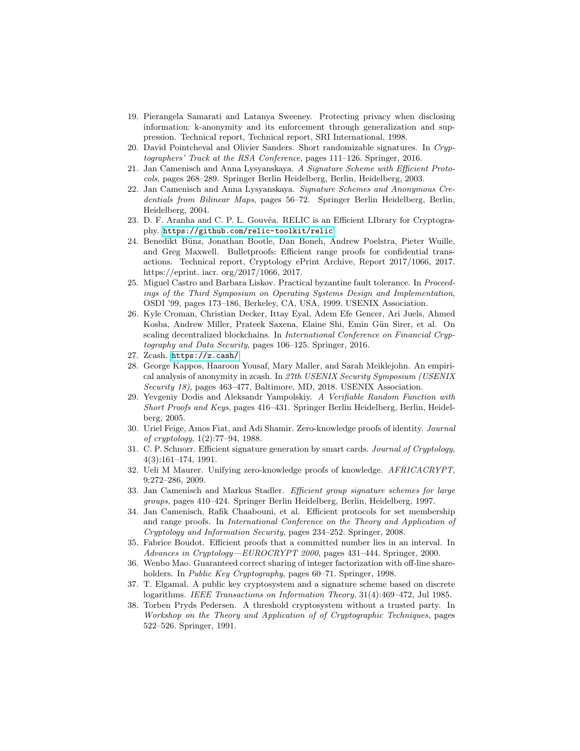- <span id="page-16-0"></span>19. Pierangela Samarati and Latanya Sweeney. Protecting privacy when disclosing information: k-anonymity and its enforcement through generalization and suppression. Technical report, Technical report, SRI International, 1998.
- <span id="page-16-1"></span>20. David Pointcheval and Olivier Sanders. Short randomizable signatures. In Cryptographers' Track at the RSA Conference, pages 111–126. Springer, 2016.
- <span id="page-16-2"></span>21. Jan Camenisch and Anna Lysyanskaya. A Signature Scheme with Efficient Protocols, pages 268–289. Springer Berlin Heidelberg, Berlin, Heidelberg, 2003.
- <span id="page-16-3"></span>22. Jan Camenisch and Anna Lysyanskaya. Signature Schemes and Anonymous Credentials from Bilinear Maps, pages 56–72. Springer Berlin Heidelberg, Berlin, Heidelberg, 2004.
- <span id="page-16-4"></span>23. D. F. Aranha and C. P. L. Gouvêa. RELIC is an Efficient LIbrary for Cryptography. <https://github.com/relic-toolkit/relic>.
- <span id="page-16-5"></span>24. Benedikt Bünz, Jonathan Bootle, Dan Boneh, Andrew Poelstra, Pieter Wuille, and Greg Maxwell. Bulletproofs: Efficient range proofs for confidential transactions. Technical report, Cryptology ePrint Archive, Report 2017/1066, 2017. https://eprint. iacr. org/2017/1066, 2017.
- <span id="page-16-6"></span>25. Miguel Castro and Barbara Liskov. Practical byzantine fault tolerance. In Proceedings of the Third Symposium on Operating Systems Design and Implementation, OSDI '99, pages 173–186, Berkeley, CA, USA, 1999. USENIX Association.
- <span id="page-16-7"></span>26. Kyle Croman, Christian Decker, Ittay Eyal, Adem Efe Gencer, Ari Juels, Ahmed Kosba, Andrew Miller, Prateek Saxena, Elaine Shi, Emin Gün Sirer, et al. On scaling decentralized blockchains. In *International Conference on Financial Cryp*tography and Data Security, pages 106–125. Springer, 2016.
- <span id="page-16-8"></span>27. Zcash. <https://z.cash/>.
- <span id="page-16-9"></span>28. George Kappos, Haaroon Yousaf, Mary Maller, and Sarah Meiklejohn. An empirical analysis of anonymity in zcash. In 27th USENIX Security Symposium (USENIX Security 18), pages 463–477, Baltimore, MD, 2018. USENIX Association.
- <span id="page-16-10"></span>29. Yevgeniy Dodis and Aleksandr Yampolskiy. A Verifiable Random Function with Short Proofs and Keys, pages 416–431. Springer Berlin Heidelberg, Berlin, Heidelberg, 2005.
- <span id="page-16-11"></span>30. Uriel Feige, Amos Fiat, and Adi Shamir. Zero-knowledge proofs of identity. Journal of cryptology, 1(2):77–94, 1988.
- <span id="page-16-12"></span>31. C. P. Schnorr. Efficient signature generation by smart cards. Journal of Cryptology, 4(3):161–174, 1991.
- <span id="page-16-13"></span>32. Ueli M Maurer. Unifying zero-knowledge proofs of knowledge. AFRICACRYPT, 9:272–286, 2009.
- <span id="page-16-14"></span>33. Jan Camenisch and Markus Stadler. Efficient group signature schemes for large groups, pages 410–424. Springer Berlin Heidelberg, Berlin, Heidelberg, 1997.
- <span id="page-16-15"></span>34. Jan Camenisch, Rafik Chaabouni, et al. Efficient protocols for set membership and range proofs. In International Conference on the Theory and Application of Cryptology and Information Security, pages 234–252. Springer, 2008.
- <span id="page-16-16"></span>35. Fabrice Boudot. Efficient proofs that a committed number lies in an interval. In Advances in Cryptology—EUROCRYPT 2000, pages 431–444. Springer, 2000.
- <span id="page-16-17"></span>36. Wenbo Mao. Guaranteed correct sharing of integer factorization with off-line shareholders. In Public Key Cryptography, pages 60–71. Springer, 1998.
- <span id="page-16-18"></span>37. T. Elgamal. A public key cryptosystem and a signature scheme based on discrete logarithms. IEEE Transactions on Information Theory, 31(4):469–472, Jul 1985.
- <span id="page-16-19"></span>38. Torben Pryds Pedersen. A threshold cryptosystem without a trusted party. In Workshop on the Theory and Application of of Cryptographic Techniques, pages 522–526. Springer, 1991.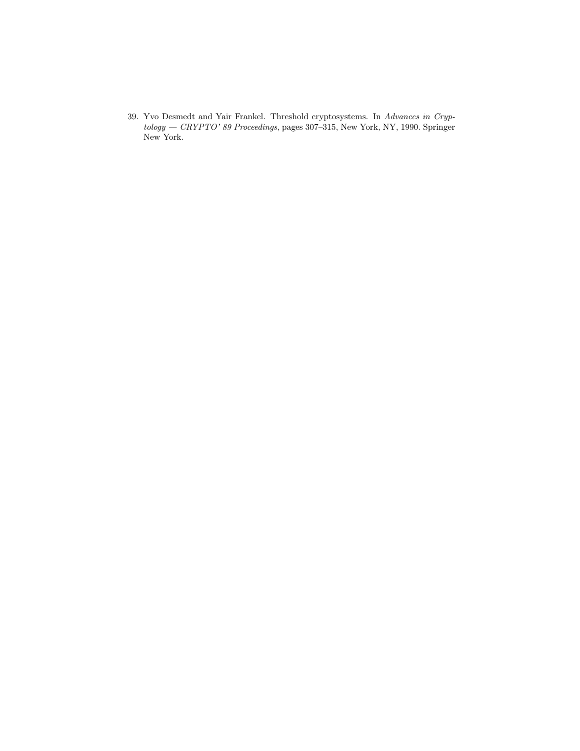<span id="page-17-0"></span>39. Yvo Desmedt and Yair Frankel. Threshold cryptosystems. In Advances in Cryptology — CRYPTO' 89 Proceedings, pages 307–315, New York, NY, 1990. Springer New York.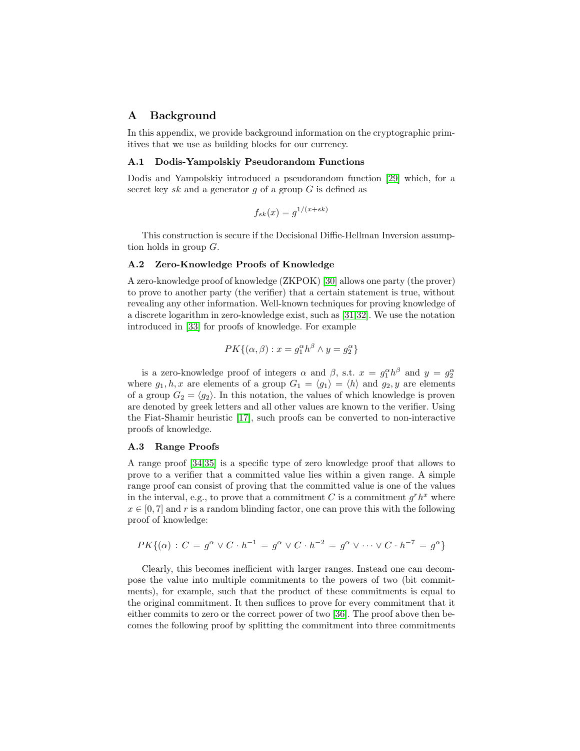# <span id="page-18-0"></span>A Background

In this appendix, we provide background information on the cryptographic primitives that we use as building blocks for our currency.

## <span id="page-18-2"></span>A.1 Dodis-Yampolskiy Pseudorandom Functions

Dodis and Yampolskiy introduced a pseudorandom function [\[29\]](#page-16-10) which, for a secret key sk and a generator q of a group  $G$  is defined as

$$
f_{sk}(x) = g^{1/(x+sk)}
$$

This construction is secure if the Decisional Diffie-Hellman Inversion assumption holds in group G.

## <span id="page-18-1"></span>A.2 Zero-Knowledge Proofs of Knowledge

A zero-knowledge proof of knowledge (ZKPOK) [\[30\]](#page-16-11) allows one party (the prover) to prove to another party (the verifier) that a certain statement is true, without revealing any other information. Well-known techniques for proving knowledge of a discrete logarithm in zero-knowledge exist, such as [\[31,](#page-16-12)[32\]](#page-16-13). We use the notation introduced in [\[33\]](#page-16-14) for proofs of knowledge. For example

$$
PK\{(\alpha,\beta): x = g_1^{\alpha}h^{\beta} \wedge y = g_2^{\alpha}\}\
$$

is a zero-knowledge proof of integers  $\alpha$  and  $\beta$ , s.t.  $x = g_1^{\alpha} h^{\beta}$  and  $y = g_2^{\alpha}$ where  $g_1, h, x$  are elements of a group  $G_1 = \langle g_1 \rangle = \langle h \rangle$  and  $g_2, y$  are elements of a group  $G_2 = \langle g_2 \rangle$ . In this notation, the values of which knowledge is proven are denoted by greek letters and all other values are known to the verifier. Using the Fiat-Shamir heuristic [\[17\]](#page-15-16), such proofs can be converted to non-interactive proofs of knowledge.

## <span id="page-18-3"></span>A.3 Range Proofs

A range proof [\[34](#page-16-15)[,35\]](#page-16-16) is a specific type of zero knowledge proof that allows to prove to a verifier that a committed value lies within a given range. A simple range proof can consist of proving that the committed value is one of the values in the interval, e.g., to prove that a commitment C is a commitment  $g^r h^x$  where  $x \in [0, 7]$  and r is a random blinding factor, one can prove this with the following proof of knowledge:

$$
PK\{(\alpha): C = g^{\alpha} \vee C \cdot h^{-1} = g^{\alpha} \vee C \cdot h^{-2} = g^{\alpha} \vee \cdots \vee C \cdot h^{-7} = g^{\alpha}\}
$$

Clearly, this becomes inefficient with larger ranges. Instead one can decompose the value into multiple commitments to the powers of two (bit commitments), for example, such that the product of these commitments is equal to the original commitment. It then suffices to prove for every commitment that it either commits to zero or the correct power of two [\[36\]](#page-16-17). The proof above then becomes the following proof by splitting the commitment into three commitments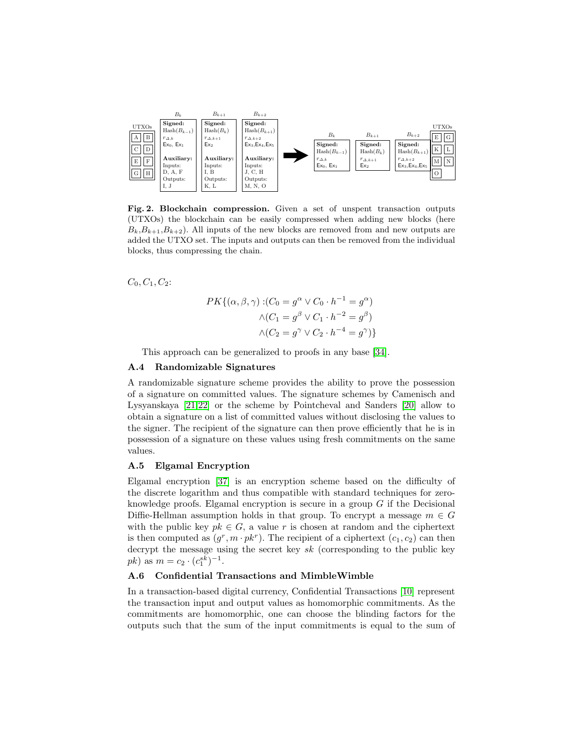<span id="page-19-2"></span>

Fig. 2. Blockchain compression. Given a set of unspent transaction outputs (UTXOs) the blockchain can be easily compressed when adding new blocks (here  $B_k, B_{k+1}, B_{k+2}$ . All inputs of the new blocks are removed from and new outputs are added the UTXO set. The inputs and outputs can then be removed from the individual blocks, thus compressing the chain.

 $C_0, C_1, C_2$ :

$$
PK\{(\alpha, \beta, \gamma) : (C_0 = g^{\alpha} \lor C_0 \cdot h^{-1} = g^{\alpha})
$$

$$
\land (C_1 = g^{\beta} \lor C_1 \cdot h^{-2} = g^{\beta})
$$

$$
\land (C_2 = g^{\gamma} \lor C_2 \cdot h^{-4} = g^{\gamma})\}
$$

This approach can be generalized to proofs in any base [\[34\]](#page-16-15).

#### <span id="page-19-0"></span>A.4 Randomizable Signatures

A randomizable signature scheme provides the ability to prove the possession of a signature on committed values. The signature schemes by Camenisch and Lysyanskaya [\[21,](#page-16-2)[22\]](#page-16-3) or the scheme by Pointcheval and Sanders [\[20\]](#page-16-1) allow to obtain a signature on a list of committed values without disclosing the values to the signer. The recipient of the signature can then prove efficiently that he is in possession of a signature on these values using fresh commitments on the same values.

#### A.5 Elgamal Encryption

Elgamal encryption [\[37\]](#page-16-18) is an encryption scheme based on the difficulty of the discrete logarithm and thus compatible with standard techniques for zeroknowledge proofs. Elgamal encryption is secure in a group  $G$  if the Decisional Diffie-Hellman assumption holds in that group. To encrypt a message  $m \in G$ with the public key  $pk \in G$ , a value r is chosen at random and the ciphertext is then computed as  $(g^r, m \cdot p k^r)$ . The recipient of a ciphertext  $(c_1, c_2)$  can then decrypt the message using the secret key  $sk$  (corresponding to the public key  $pk$ ) as  $m = c_2 \cdot (c_1^{sk})^{-1}$ .

#### <span id="page-19-1"></span>A.6 Confidential Transactions and MimbleWimble

In a transaction-based digital currency, Confidential Transactions [\[10\]](#page-15-9) represent the transaction input and output values as homomorphic commitments. As the commitments are homomorphic, one can choose the blinding factors for the outputs such that the sum of the input commitments is equal to the sum of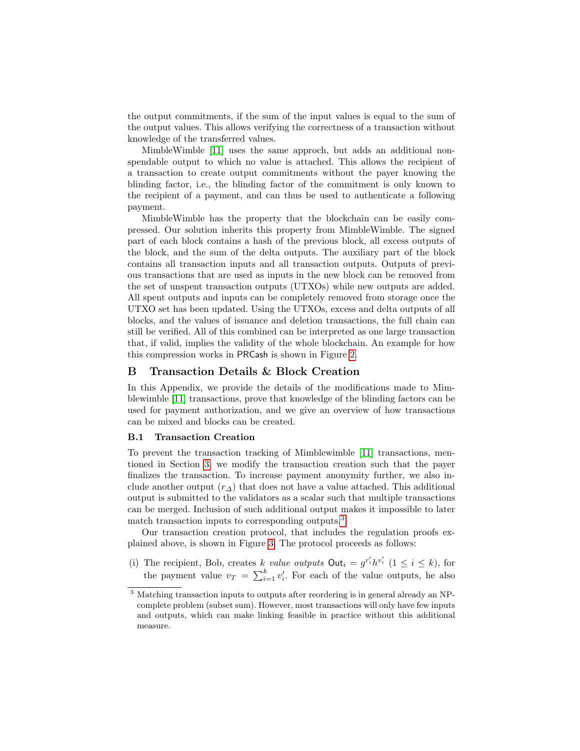the output commitments, if the sum of the input values is equal to the sum of the output values. This allows verifying the correctness of a transaction without knowledge of the transferred values.

MimbleWimble [\[11\]](#page-15-10) uses the same approch, but adds an additional nonspendable output to which no value is attached. This allows the recipient of a transaction to create output commitments without the payer knowing the blinding factor, i.e., the blinding factor of the commitment is only known to the recipient of a payment, and can thus be used to authenticate a following payment.

MimbleWimble has the property that the blockchain can be easily compressed. Our solution inherits this property from MimbleWimble. The signed part of each block contains a hash of the previous block, all excess outputs of the block, and the sum of the delta outputs. The auxiliary part of the block contains all transaction inputs and all transaction outputs. Outputs of previous transactions that are used as inputs in the new block can be removed from the set of unspent transaction outputs (UTXOs) while new outputs are added. All spent outputs and inputs can be completely removed from storage once the UTXO set has been updated. Using the UTXOs, excess and delta outputs of all blocks, and the values of issuance and deletion transactions, the full chain can still be verified. All of this combined can be interpreted as one large transaction that, if valid, implies the validity of the whole blockchain. An example for how this compression works in PRCash is shown in Figure [2.](#page-19-2)

# <span id="page-20-0"></span>B Transaction Details & Block Creation

In this Appendix, we provide the details of the modifications made to Mimblewimble [\[11\]](#page-15-10) transactions, prove that knowledge of the blinding factors can be used for payment authorization, and we give an overview of how transactions can be mixed and blocks can be created.

## B.1 Transaction Creation

To prevent the transaction tracking of Mimblewimble [\[11\]](#page-15-10) transactions, mentioned in Section [3,](#page-5-0) we modify the transaction creation such that the payer finalizes the transaction. To increase payment anonymity further, we also include another output  $(r<sub>\Delta</sub>)$  that does not have a value attached. This additional output is submitted to the validators as a scalar such that multiple transactions can be merged. Inclusion of such additional output makes it impossible to later match transaction inputs to corresponding outputs.<sup>[3](#page-20-1)</sup>

Our transaction creation protocol, that includes the regulation proofs explained above, is shown in Figure [3.](#page-21-0) The protocol proceeds as follows:

(i) The recipient, Bob, creates k value outputs  $\text{Out}_i = g^{r'_i} h^{v'_i}$   $(1 \leq i \leq k)$ , for the payment value  $v_T = \sum_{i=1}^k v'_i$ . For each of the value outputs, he also

<span id="page-20-1"></span><sup>3</sup> Matching transaction inputs to outputs after reordering is in general already an NPcomplete problem (subset sum). However, most transactions will only have few inputs and outputs, which can make linking feasible in practice without this additional measure.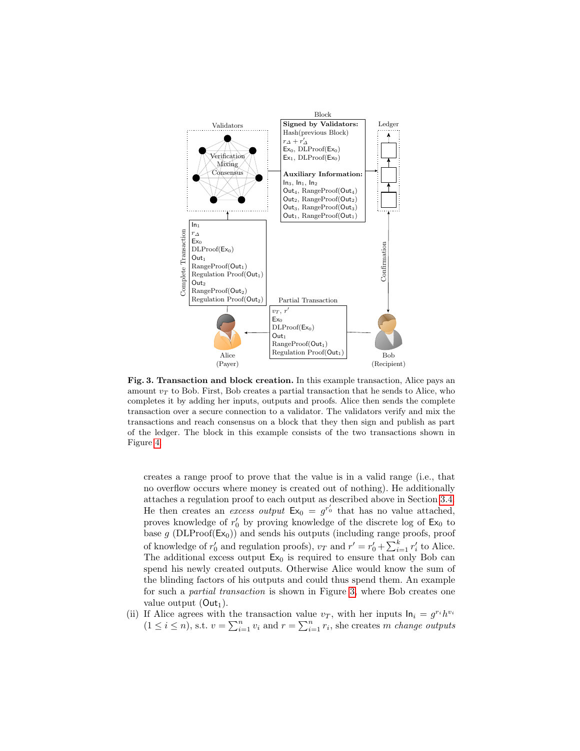<span id="page-21-0"></span>

Fig. 3. Transaction and block creation. In this example transaction, Alice pays an amount  $v_T$  to Bob. First, Bob creates a partial transaction that he sends to Alice, who completes it by adding her inputs, outputs and proofs. Alice then sends the complete transaction over a secure connection to a validator. The validators verify and mix the transactions and reach consensus on a block that they then sign and publish as part of the ledger. The block in this example consists of the two transactions shown in Figure [4.](#page-22-1)

creates a range proof to prove that the value is in a valid range (i.e., that no overflow occurs where money is created out of nothing). He additionally attaches a regulation proof to each output as described above in Section [3.4.](#page-7-0) He then creates an excess output  $Ex_0 = g^{r'_0}$  that has no value attached, proves knowledge of  $r'_0$  by proving knowledge of the discrete log of  $Ex_0$  to base g (DLProof( $\mathsf{Ex}_0$ )) and sends his outputs (including range proofs, proof of knowledge of  $r'_0$  and regulation proofs),  $v_T$  and  $r' = r'_0 + \sum_{i=1}^k r'_i$  to Alice. The additional excess output  $Ex_0$  is required to ensure that only Bob can spend his newly created outputs. Otherwise Alice would know the sum of the blinding factors of his outputs and could thus spend them. An example for such a partial transaction is shown in Figure [3,](#page-21-0) where Bob creates one value output  $(Out<sub>1</sub>)$ .

(ii) If Alice agrees with the transaction value  $v_T$ , with her inputs  $\ln_i = g^{r_i} h^{v_i}$  $(1 \leq i \leq n)$ , s.t.  $v = \sum_{i=1}^{n} v_i$  and  $r = \sum_{i=1}^{n} r_i$ , she creates m change outputs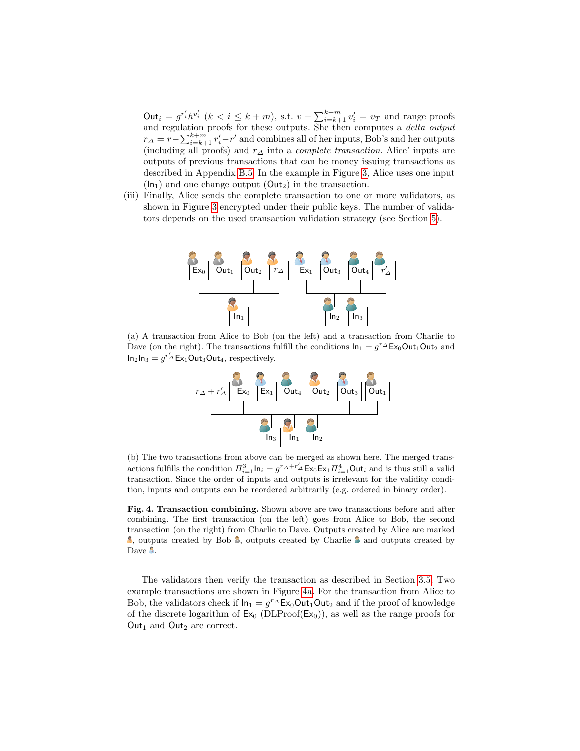Out<sub>i</sub> =  $g^{r'_i}h^{v'_i}$  ( $k < i \leq k+m$ ), s.t.  $v - \sum_{i=k+1}^{k+m} v'_i = v_T$  and range proofs and regulation proofs for these outputs. She then computes a *delta output*  $r_{\Delta} = r - \sum_{i=k+1}^{k+m} r'_i - r'$  and combines all of her inputs, Bob's and her outputs (including all proofs) and  $r_{\Delta}$  into a *complete transaction*. Alice' inputs are outputs of previous transactions that can be money issuing transactions as described in Appendix [B.5.](#page-25-0) In the example in Figure [3,](#page-21-0) Alice uses one input  $(\mathsf{In}_1)$  and one change output  $(\mathsf{Out}_2)$  in the transaction.

(iii) Finally, Alice sends the complete transaction to one or more validators, as shown in Figure [3](#page-21-0) encrypted under their public keys. The number of validators depends on the used transaction validation strategy (see Section [5\)](#page-11-0).

<span id="page-22-1"></span>

(a) A transaction from Alice to Bob (on the left) and a transaction from Charlie to Dave (on the right). The transactions fulfill the conditions  $\ln_1 = g^r \Delta \mathsf{Ex}_0 \mathsf{Out}_1 \mathsf{Out}_2$  and  $\mathsf{In}_2 \mathsf{In}_3 = g^{r'_\Delta} \mathsf{Ex}_1 \mathsf{Out}_3 \mathsf{Out}_4$ , respectively.



(b) The two transactions from above can be merged as shown here. The merged transactions fulfills the condition  $\Pi_{i=1}^3 \ln_i = g^{r_{\Delta}+r'_{\Delta}} \mathsf{Ex}_0 \mathsf{Ex}_1 \Pi_{i=1}^4 \mathsf{Out}_i$  and is thus still a valid transaction. Since the order of inputs and outputs is irrelevant for the validity condition, inputs and outputs can be reordered arbitrarily (e.g. ordered in binary order).

Fig. 4. Transaction combining. Shown above are two transactions before and after combining. The first transaction (on the left) goes from Alice to Bob, the second transaction (on the right) from Charlie to Dave. Outputs created by Alice are marked **3**, outputs created by Bob **3**, outputs created by Charlie **3** and outputs created by Dave 8.

<span id="page-22-0"></span>The validators then verify the transaction as described in Section [3.5.](#page-8-0) Two example transactions are shown in Figure [4a.](#page-22-1) For the transaction from Alice to Bob, the validators check if  $\ln_1 = g^{r} \Delta E_{0}$ Out<sub>1</sub>Out<sub>2</sub> and if the proof of knowledge of the discrete logarithm of  $Ex_0$  (DLProof( $Ex_0$ )), as well as the range proofs for Out<sub>1</sub> and Out<sub>2</sub> are correct.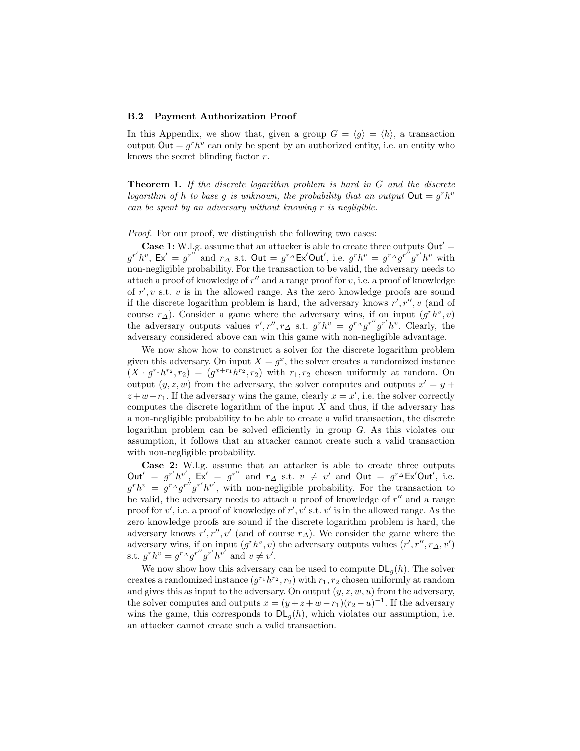#### B.2 Payment Authorization Proof

In this Appendix, we show that, given a group  $G = \langle g \rangle = \langle h \rangle$ , a transaction output  $\text{Out} = g^r h^v$  can only be spent by an authorized entity, i.e. an entity who knows the secret blinding factor r.

**Theorem 1.** If the discrete logarithm problem is hard in G and the discrete logarithm of h to base g is unknown, the probability that an output  $\text{Out} = g^r h^v$ can be spent by an adversary without knowing r is negligible.

Proof. For our proof, we distinguish the following two cases:

**Case 1:** W.l.g. assume that an attacker is able to create three outputs  $Out' =$  $g^{r'}h^v$ ,  $\mathsf{Ex}' = g^{r''}$  and  $r_{\Delta}$  s.t.  $\mathsf{Out} = g^{r_{\Delta}}\mathsf{Ex}'\mathsf{Out}'$ , i.e.  $g^rh^v = g^{r_{\Delta}}g^{r''}g^{r'}h^v$  with non-negligible probability. For the transaction to be valid, the adversary needs to attach a proof of knowledge of  $r''$  and a range proof for  $v$ , i.e. a proof of knowledge of  $r'$ , v s.t. v is in the allowed range. As the zero knowledge proofs are sound if the discrete logarithm problem is hard, the adversary knows  $r', r'', v$  (and of course  $r_{\Delta}$ ). Consider a game where the adversary wins, if on input  $(g<sup>r</sup> h<sup>v</sup>, v)$ the adversary outputs values  $r', r'', r_{\Delta}$  s.t.  $g^r h^v = g^{r_{\Delta}} g^{r''} g^{r'} h^v$ . Clearly, the adversary considered above can win this game with non-negligible advantage.

We now show how to construct a solver for the discrete logarithm problem given this adversary. On input  $X = g^x$ , the solver creates a randomized instance  $(X \cdot g^{r_1} h^{r_2}, r_2) = (g^{x+r_1} h^{r_2}, r_2)$  with  $r_1, r_2$  chosen uniformly at random. On output  $(y, z, w)$  from the adversary, the solver computes and outputs  $x' = y +$  $z+w-r_1$ . If the adversary wins the game, clearly  $x = x'$ , i.e. the solver correctly computes the discrete logarithm of the input  $X$  and thus, if the adversary has a non-negligible probability to be able to create a valid transaction, the discrete logarithm problem can be solved efficiently in group  $G$ . As this violates our assumption, it follows that an attacker cannot create such a valid transaction with non-negligible probability.

Case 2: W.l.g. assume that an attacker is able to create three outputs Out' =  $g^{r'}h^{v'}$ ,  $\mathsf{Ex}' = g^{r''}$  and  $r_{\Delta}$  s.t.  $v \neq v'$  and Out =  $g^{r_{\Delta}}\mathsf{Ex}'\mathsf{Out}'$ , i.e.  $g^r h^v = g^{r\Delta} g^{r''} g^{r'} h^{v'}$ , with non-negligible probability. For the transaction to be valid, the adversary needs to attach a proof of knowledge of  $r''$  and a range proof for  $v'$ , i.e. a proof of knowledge of  $r'$ ,  $v'$  s.t.  $v'$  is in the allowed range. As the zero knowledge proofs are sound if the discrete logarithm problem is hard, the adversary knows  $r', r'', v'$  (and of course  $r_\Delta$ ). We consider the game where the adversary wins, if on input  $(g^r h^v, v)$  the adversary outputs values  $(r', r'', r_\Delta, v')$ s.t.  $g^r h^v = g^{r \Delta} g^{r''} g^{r'} h^{v'}$  and  $v \neq v'$ .

We now show how this adversary can be used to compute  $\mathsf{DL}_q(h)$ . The solver creates a randomized instance  $(g^{r_1}h^{r_2}, r_2)$  with  $r_1, r_2$  chosen uniformly at random and gives this as input to the adversary. On output  $(y, z, w, u)$  from the adversary, the solver computes and outputs  $x = (y + z + w - r_1)(r_2 - u)^{-1}$ . If the adversary wins the game, this corresponds to  $DL<sub>q</sub>(h)$ , which violates our assumption, i.e. an attacker cannot create such a valid transaction.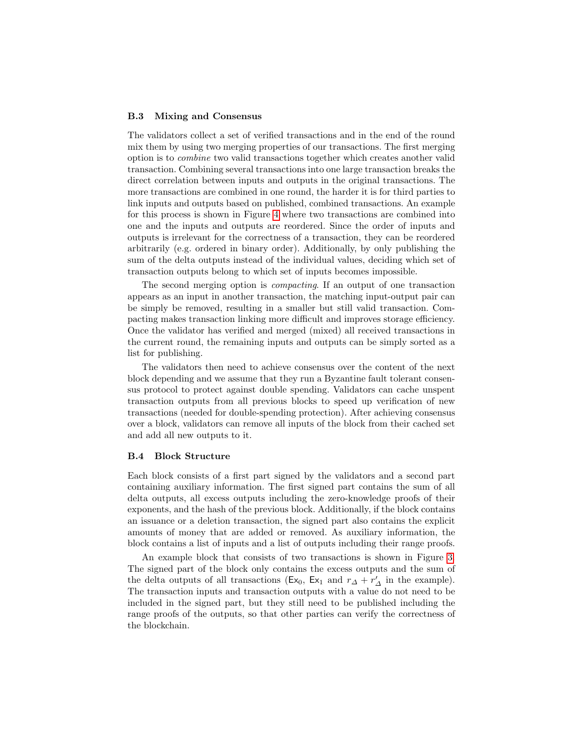## B.3 Mixing and Consensus

The validators collect a set of verified transactions and in the end of the round mix them by using two merging properties of our transactions. The first merging option is to combine two valid transactions together which creates another valid transaction. Combining several transactions into one large transaction breaks the direct correlation between inputs and outputs in the original transactions. The more transactions are combined in one round, the harder it is for third parties to link inputs and outputs based on published, combined transactions. An example for this process is shown in Figure [4](#page-22-1) where two transactions are combined into one and the inputs and outputs are reordered. Since the order of inputs and outputs is irrelevant for the correctness of a transaction, they can be reordered arbitrarily (e.g. ordered in binary order). Additionally, by only publishing the sum of the delta outputs instead of the individual values, deciding which set of transaction outputs belong to which set of inputs becomes impossible.

The second merging option is compacting. If an output of one transaction appears as an input in another transaction, the matching input-output pair can be simply be removed, resulting in a smaller but still valid transaction. Compacting makes transaction linking more difficult and improves storage efficiency. Once the validator has verified and merged (mixed) all received transactions in the current round, the remaining inputs and outputs can be simply sorted as a list for publishing.

The validators then need to achieve consensus over the content of the next block depending and we assume that they run a Byzantine fault tolerant consensus protocol to protect against double spending. Validators can cache unspent transaction outputs from all previous blocks to speed up verification of new transactions (needed for double-spending protection). After achieving consensus over a block, validators can remove all inputs of the block from their cached set and add all new outputs to it.

## B.4 Block Structure

Each block consists of a first part signed by the validators and a second part containing auxiliary information. The first signed part contains the sum of all delta outputs, all excess outputs including the zero-knowledge proofs of their exponents, and the hash of the previous block. Additionally, if the block contains an issuance or a deletion transaction, the signed part also contains the explicit amounts of money that are added or removed. As auxiliary information, the block contains a list of inputs and a list of outputs including their range proofs.

An example block that consists of two transactions is shown in Figure [3.](#page-21-0) The signed part of the block only contains the excess outputs and the sum of the delta outputs of all transactions (Ex<sub>0</sub>, Ex<sub>1</sub> and  $r_{\Delta} + r'_{\Delta}$  in the example). The transaction inputs and transaction outputs with a value do not need to be included in the signed part, but they still need to be published including the range proofs of the outputs, so that other parties can verify the correctness of the blockchain.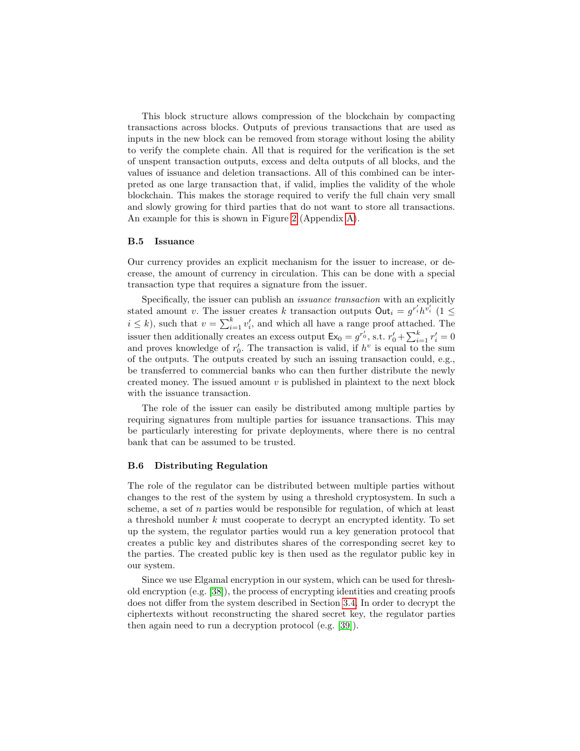This block structure allows compression of the blockchain by compacting transactions across blocks. Outputs of previous transactions that are used as inputs in the new block can be removed from storage without losing the ability to verify the complete chain. All that is required for the verification is the set of unspent transaction outputs, excess and delta outputs of all blocks, and the values of issuance and deletion transactions. All of this combined can be interpreted as one large transaction that, if valid, implies the validity of the whole blockchain. This makes the storage required to verify the full chain very small and slowly growing for third parties that do not want to store all transactions. An example for this is shown in Figure [2](#page-19-2) (Appendix [A\)](#page-18-0).

#### <span id="page-25-0"></span>B.5 Issuance

Our currency provides an explicit mechanism for the issuer to increase, or decrease, the amount of currency in circulation. This can be done with a special transaction type that requires a signature from the issuer.

Specifically, the issuer can publish an issuance transaction with an explicitly stated amount v. The issuer creates k transaction outputs  $\text{Out}_i = g^{r'_i} h^{v'_i}$  (1  $\leq$  $i \leq k$ ), such that  $v = \sum_{i=1}^{k} v'_i$ , and which all have a range proof attached. The issuer then additionally creates an excess output  $\mathsf{Ex}_0 = g^{r'_0}$ , s.t.  $r'_0 + \sum_{i=1}^k r'_i = 0$ and proves knowledge of  $r'_0$ . The transaction is valid, if  $h^v$  is equal to the sum of the outputs. The outputs created by such an issuing transaction could, e.g., be transferred to commercial banks who can then further distribute the newly created money. The issued amount  $v$  is published in plaintext to the next block with the issuance transaction.

The role of the issuer can easily be distributed among multiple parties by requiring signatures from multiple parties for issuance transactions. This may be particularly interesting for private deployments, where there is no central bank that can be assumed to be trusted.

#### <span id="page-25-1"></span>B.6 Distributing Regulation

The role of the regulator can be distributed between multiple parties without changes to the rest of the system by using a threshold cryptosystem. In such a scheme, a set of  $n$  parties would be responsible for regulation, of which at least a threshold number  $k$  must cooperate to decrypt an encrypted identity. To set up the system, the regulator parties would run a key generation protocol that creates a public key and distributes shares of the corresponding secret key to the parties. The created public key is then used as the regulator public key in our system.

<span id="page-25-2"></span>Since we use Elgamal encryption in our system, which can be used for threshold encryption (e.g. [\[38\]](#page-16-19)), the process of encrypting identities and creating proofs does not differ from the system described in Section [3.4.](#page-7-0) In order to decrypt the ciphertexts without reconstructing the shared secret key, the regulator parties then again need to run a decryption protocol (e.g. [\[39\]](#page-17-0)).